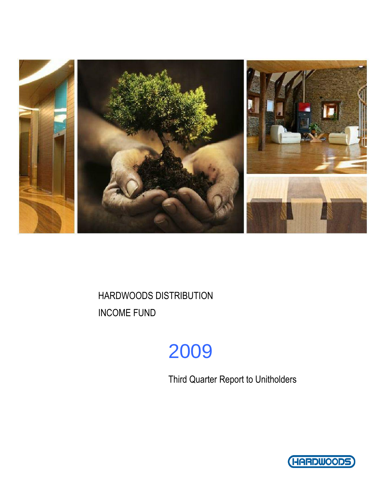

# 2009

Third Quarter Report to Unitholders

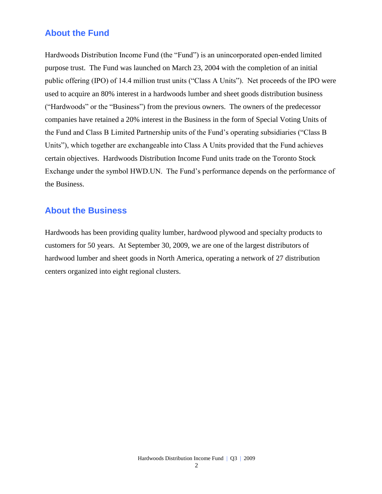### **About the Fund**

Hardwoods Distribution Income Fund (the "Fund") is an unincorporated open-ended limited purpose trust. The Fund was launched on March 23, 2004 with the completion of an initial public offering (IPO) of 14.4 million trust units ("Class A Units"). Net proceeds of the IPO were used to acquire an 80% interest in a hardwoods lumber and sheet goods distribution business ("Hardwoods" or the "Business") from the previous owners. The owners of the predecessor companies have retained a 20% interest in the Business in the form of Special Voting Units of the Fund and Class B Limited Partnership units of the Fund's operating subsidiaries ("Class B Units"), which together are exchangeable into Class A Units provided that the Fund achieves certain objectives. Hardwoods Distribution Income Fund units trade on the Toronto Stock Exchange under the symbol HWD.UN. The Fund's performance depends on the performance of the Business.

### **About the Business**

Hardwoods has been providing quality lumber, hardwood plywood and specialty products to customers for 50 years. At September 30, 2009, we are one of the largest distributors of hardwood lumber and sheet goods in North America, operating a network of 27 distribution centers organized into eight regional clusters.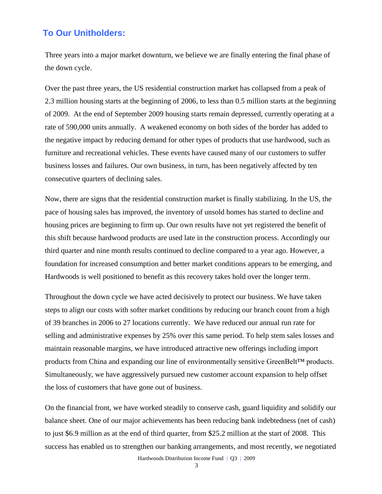### **To Our Unitholders:**

Three years into a major market downturn, we believe we are finally entering the final phase of the down cycle.

Over the past three years, the US residential construction market has collapsed from a peak of 2.3 million housing starts at the beginning of 2006, to less than 0.5 million starts at the beginning of 2009. At the end of September 2009 housing starts remain depressed, currently operating at a rate of 590,000 units annually. A weakened economy on both sides of the border has added to the negative impact by reducing demand for other types of products that use hardwood, such as furniture and recreational vehicles. These events have caused many of our customers to suffer business losses and failures. Our own business, in turn, has been negatively affected by ten consecutive quarters of declining sales.

Now, there are signs that the residential construction market is finally stabilizing. In the US, the pace of housing sales has improved, the inventory of unsold homes has started to decline and housing prices are beginning to firm up. Our own results have not yet registered the benefit of this shift because hardwood products are used late in the construction process. Accordingly our third quarter and nine month results continued to decline compared to a year ago. However, a foundation for increased consumption and better market conditions appears to be emerging, and Hardwoods is well positioned to benefit as this recovery takes hold over the longer term.

Throughout the down cycle we have acted decisively to protect our business. We have taken steps to align our costs with softer market conditions by reducing our branch count from a high of 39 branches in 2006 to 27 locations currently. We have reduced our annual run rate for selling and administrative expenses by 25% over this same period. To help stem sales losses and maintain reasonable margins, we have introduced attractive new offerings including import products from China and expanding our line of environmentally sensitive GreenBelt™ products. Simultaneously, we have aggressively pursued new customer account expansion to help offset the loss of customers that have gone out of business.

On the financial front, we have worked steadily to conserve cash, guard liquidity and solidify our balance sheet. One of our major achievements has been reducing bank indebtedness (net of cash) to just \$6.9 million as at the end of third quarter, from \$25.2 million at the start of 2008. This success has enabled us to strengthen our banking arrangements, and most recently, we negotiated

Hardwoods Distribution Income Fund | Q3 | 2009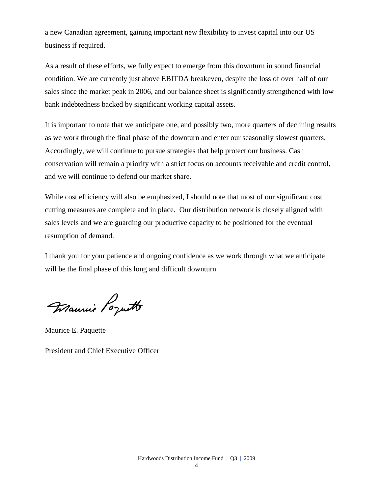a new Canadian agreement, gaining important new flexibility to invest capital into our US business if required.

As a result of these efforts, we fully expect to emerge from this downturn in sound financial condition. We are currently just above EBITDA breakeven, despite the loss of over half of our sales since the market peak in 2006, and our balance sheet is significantly strengthened with low bank indebtedness backed by significant working capital assets.

It is important to note that we anticipate one, and possibly two, more quarters of declining results as we work through the final phase of the downturn and enter our seasonally slowest quarters. Accordingly, we will continue to pursue strategies that help protect our business. Cash conservation will remain a priority with a strict focus on accounts receivable and credit control, and we will continue to defend our market share.

While cost efficiency will also be emphasized, I should note that most of our significant cost cutting measures are complete and in place. Our distribution network is closely aligned with sales levels and we are guarding our productive capacity to be positioned for the eventual resumption of demand.

I thank you for your patience and ongoing confidence as we work through what we anticipate will be the final phase of this long and difficult downturn.

Maurie Poquette

Maurice E. Paquette

President and Chief Executive Officer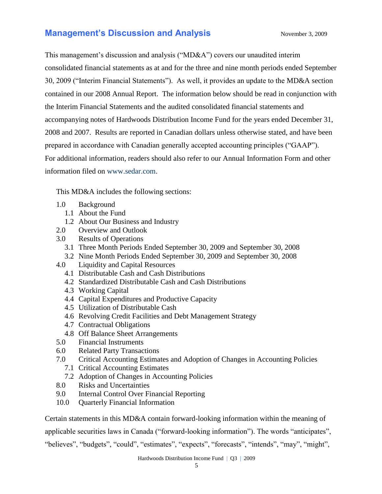## **Management's Discussion and Analysis** November 3, 2009

This management's discussion and analysis ("MD&A") covers our unaudited interim consolidated financial statements as at and for the three and nine month periods ended September 30, 2009 ("Interim Financial Statements"). As well, it provides an update to the MD&A section contained in our 2008 Annual Report. The information below should be read in conjunction with the Interim Financial Statements and the audited consolidated financial statements and accompanying notes of Hardwoods Distribution Income Fund for the years ended December 31, 2008 and 2007. Results are reported in Canadian dollars unless otherwise stated, and have been prepared in accordance with Canadian generally accepted accounting principles ("GAAP"). For additional information, readers should also refer to our Annual Information Form and other information filed on [www.sedar.com.](http://www.sedar.com/)

This MD&A includes the following sections:

- 1.0 Background
	- 1.1 About the Fund
	- 1.2 About Our Business and Industry
- 2.0 Overview and Outlook
- 3.0 Results of Operations
	- 3.1 Three Month Periods Ended September 30, 2009 and September 30, 2008
	- 3.2 Nine Month Periods Ended September 30, 2009 and September 30, 2008
- 4.0 Liquidity and Capital Resources
	- 4.1 Distributable Cash and Cash Distributions
	- 4.2 Standardized Distributable Cash and Cash Distributions
	- 4.3 Working Capital
	- 4.4 Capital Expenditures and Productive Capacity
	- 4.5 Utilization of Distributable Cash
	- 4.6 Revolving Credit Facilities and Debt Management Strategy
	- 4.7 Contractual Obligations
	- 4.8 Off Balance Sheet Arrangements
- 5.0 Financial Instruments
- 6.0 Related Party Transactions
- 7.0 Critical Accounting Estimates and Adoption of Changes in Accounting Policies
	- 7.1 Critical Accounting Estimates
	- 7.2 Adoption of Changes in Accounting Policies
- 8.0 Risks and Uncertainties
- 9.0 Internal Control Over Financial Reporting
- 10.0 Quarterly Financial Information

Certain statements in this MD&A contain forward-looking information within the meaning of

applicable securities laws in Canada ("forward-looking information"). The words "anticipates",

"believes", "budgets", "could", "estimates", "expects", "forecasts", "intends", "may", "might",

Hardwoods Distribution Income Fund | Q3 | 2009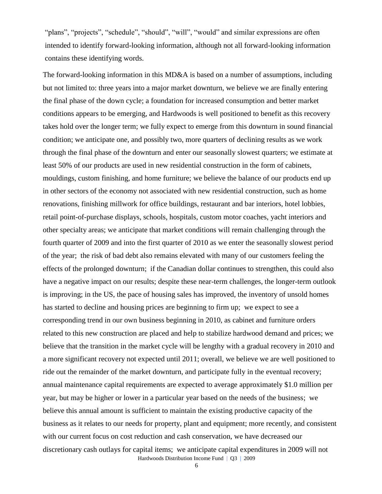"plans", "projects", "schedule", "should", "will", "would" and similar expressions are often intended to identify forward-looking information, although not all forward-looking information contains these identifying words.

Hardwoods Distribution Income Fund | Q3 | 2009 The forward-looking information in this MD&A is based on a number of assumptions, including but not limited to: three years into a major market downturn, we believe we are finally entering the final phase of the down cycle; a foundation for increased consumption and better market conditions appears to be emerging, and Hardwoods is well positioned to benefit as this recovery takes hold over the longer term; we fully expect to emerge from this downturn in sound financial condition; we anticipate one, and possibly two, more quarters of declining results as we work through the final phase of the downturn and enter our seasonally slowest quarters; we estimate at least 50% of our products are used in new residential construction in the form of cabinets, mouldings, custom finishing, and home furniture; we believe the balance of our products end up in other sectors of the economy not associated with new residential construction, such as home renovations, finishing millwork for office buildings, restaurant and bar interiors, hotel lobbies, retail point-of-purchase displays, schools, hospitals, custom motor coaches, yacht interiors and other specialty areas; we anticipate that market conditions will remain challenging through the fourth quarter of 2009 and into the first quarter of 2010 as we enter the seasonally slowest period of the year; the risk of bad debt also remains elevated with many of our customers feeling the effects of the prolonged downturn; if the Canadian dollar continues to strengthen, this could also have a negative impact on our results; despite these near-term challenges, the longer-term outlook is improving; in the US, the pace of housing sales has improved, the inventory of unsold homes has started to decline and housing prices are beginning to firm up; we expect to see a corresponding trend in our own business beginning in 2010, as cabinet and furniture orders related to this new construction are placed and help to stabilize hardwood demand and prices; we believe that the transition in the market cycle will be lengthy with a gradual recovery in 2010 and a more significant recovery not expected until 2011; overall, we believe we are well positioned to ride out the remainder of the market downturn, and participate fully in the eventual recovery; annual maintenance capital requirements are expected to average approximately \$1.0 million per year, but may be higher or lower in a particular year based on the needs of the business; we believe this annual amount is sufficient to maintain the existing productive capacity of the business as it relates to our needs for property, plant and equipment; more recently, and consistent with our current focus on cost reduction and cash conservation, we have decreased our discretionary cash outlays for capital items; we anticipate capital expenditures in 2009 will not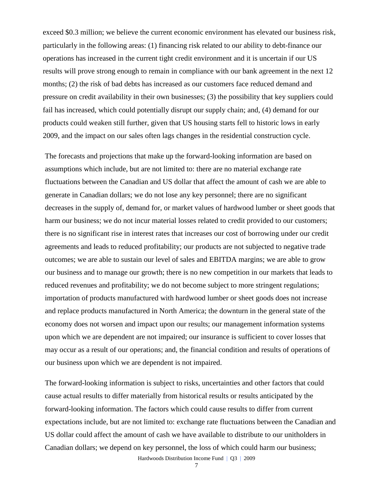exceed \$0.3 million; we believe the current economic environment has elevated our business risk, particularly in the following areas: (1) financing risk related to our ability to debt-finance our operations has increased in the current tight credit environment and it is uncertain if our US results will prove strong enough to remain in compliance with our bank agreement in the next 12 months; (2) the risk of bad debts has increased as our customers face reduced demand and pressure on credit availability in their own businesses; (3) the possibility that key suppliers could fail has increased, which could potentially disrupt our supply chain; and, (4) demand for our products could weaken still further, given that US housing starts fell to historic lows in early 2009, and the impact on our sales often lags changes in the residential construction cycle.

The forecasts and projections that make up the forward-looking information are based on assumptions which include, but are not limited to: there are no material exchange rate fluctuations between the Canadian and US dollar that affect the amount of cash we are able to generate in Canadian dollars; we do not lose any key personnel; there are no significant decreases in the supply of, demand for, or market values of hardwood lumber or sheet goods that harm our business; we do not incur material losses related to credit provided to our customers; there is no significant rise in interest rates that increases our cost of borrowing under our credit agreements and leads to reduced profitability; our products are not subjected to negative trade outcomes; we are able to sustain our level of sales and EBITDA margins; we are able to grow our business and to manage our growth; there is no new competition in our markets that leads to reduced revenues and profitability; we do not become subject to more stringent regulations; importation of products manufactured with hardwood lumber or sheet goods does not increase and replace products manufactured in North America; the downturn in the general state of the economy does not worsen and impact upon our results; our management information systems upon which we are dependent are not impaired; our insurance is sufficient to cover losses that may occur as a result of our operations; and, the financial condition and results of operations of our business upon which we are dependent is not impaired.

The forward-looking information is subject to risks, uncertainties and other factors that could cause actual results to differ materially from historical results or results anticipated by the forward-looking information. The factors which could cause results to differ from current expectations include, but are not limited to: exchange rate fluctuations between the Canadian and US dollar could affect the amount of cash we have available to distribute to our unitholders in Canadian dollars; we depend on key personnel, the loss of which could harm our business;

Hardwoods Distribution Income Fund | Q3 | 2009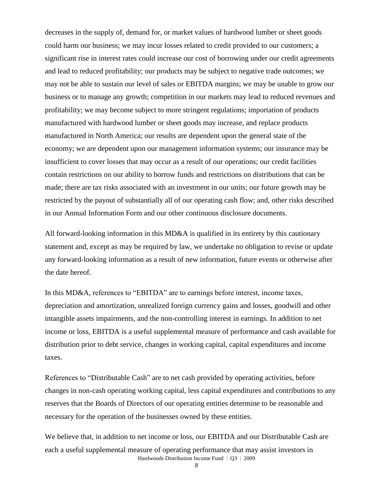decreases in the supply of, demand for, or market values of hardwood lumber or sheet goods could harm our business; we may incur losses related to credit provided to our customers; a significant rise in interest rates could increase our cost of borrowing under our credit agreements and lead to reduced profitability; our products may be subject to negative trade outcomes; we may not be able to sustain our level of sales or EBITDA margins; we may be unable to grow our business or to manage any growth; competition in our markets may lead to reduced revenues and profitability; we may become subject to more stringent regulations; importation of products manufactured with hardwood lumber or sheet goods may increase, and replace products manufactured in North America; our results are dependent upon the general state of the economy; we are dependent upon our management information systems; our insurance may be insufficient to cover losses that may occur as a result of our operations; our credit facilities contain restrictions on our ability to borrow funds and restrictions on distributions that can be made; there are tax risks associated with an investment in our units; our future growth may be restricted by the payout of substantially all of our operating cash flow; and, other risks described in our Annual Information Form and our other continuous disclosure documents.

All forward-looking information in this MD&A is qualified in its entirety by this cautionary statement and, except as may be required by law, we undertake no obligation to revise or update any forward-looking information as a result of new information, future events or otherwise after the date hereof.

In this MD&A, references to "EBITDA" are to earnings before interest, income taxes, depreciation and amortization, unrealized foreign currency gains and losses, goodwill and other intangible assets impairments, and the non-controlling interest in earnings. In addition to net income or loss, EBITDA is a useful supplemental measure of performance and cash available for distribution prior to debt service, changes in working capital, capital expenditures and income taxes.

References to "Distributable Cash" are to net cash provided by operating activities, before changes in non-cash operating working capital, less capital expenditures and contributions to any reserves that the Boards of Directors of our operating entities determine to be reasonable and necessary for the operation of the businesses owned by these entities.

Hardwoods Distribution Income Fund | Q3 | 2009 We believe that, in addition to net income or loss, our EBITDA and our Distributable Cash are each a useful supplemental measure of operating performance that may assist investors in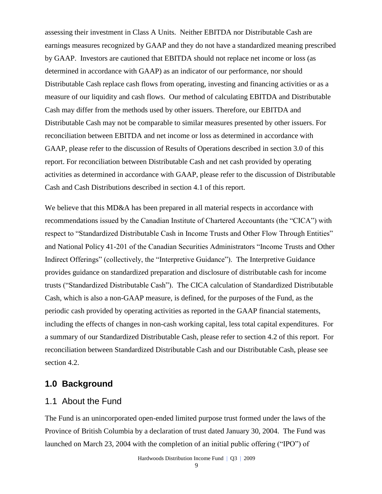assessing their investment in Class A Units. Neither EBITDA nor Distributable Cash are earnings measures recognized by GAAP and they do not have a standardized meaning prescribed by GAAP. Investors are cautioned that EBITDA should not replace net income or loss (as determined in accordance with GAAP) as an indicator of our performance, nor should Distributable Cash replace cash flows from operating, investing and financing activities or as a measure of our liquidity and cash flows. Our method of calculating EBITDA and Distributable Cash may differ from the methods used by other issuers. Therefore, our EBITDA and Distributable Cash may not be comparable to similar measures presented by other issuers. For reconciliation between EBITDA and net income or loss as determined in accordance with GAAP, please refer to the discussion of Results of Operations described in section 3.0 of this report. For reconciliation between Distributable Cash and net cash provided by operating activities as determined in accordance with GAAP, please refer to the discussion of Distributable Cash and Cash Distributions described in section 4.1 of this report.

We believe that this MD&A has been prepared in all material respects in accordance with recommendations issued by the Canadian Institute of Chartered Accountants (the "CICA") with respect to "Standardized Distributable Cash in Income Trusts and Other Flow Through Entities" and National Policy 41-201 of the Canadian Securities Administrators "Income Trusts and Other Indirect Offerings" (collectively, the "Interpretive Guidance"). The Interpretive Guidance provides guidance on standardized preparation and disclosure of distributable cash for income trusts ("Standardized Distributable Cash"). The CICA calculation of Standardized Distributable Cash, which is also a non-GAAP measure, is defined, for the purposes of the Fund, as the periodic cash provided by operating activities as reported in the GAAP financial statements, including the effects of changes in non-cash working capital, less total capital expenditures. For a summary of our Standardized Distributable Cash, please refer to section 4.2 of this report. For reconciliation between Standardized Distributable Cash and our Distributable Cash, please see section 4.2.

### **1.0 Background**

### 1.1 About the Fund

The Fund is an unincorporated open-ended limited purpose trust formed under the laws of the Province of British Columbia by a declaration of trust dated January 30, 2004. The Fund was launched on March 23, 2004 with the completion of an initial public offering ("IPO") of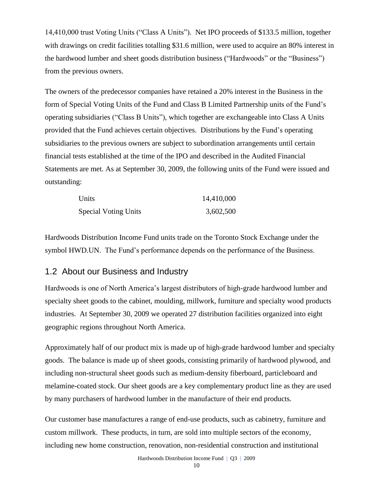14,410,000 trust Voting Units ("Class A Units"). Net IPO proceeds of \$133.5 million, together with drawings on credit facilities totalling \$31.6 million, were used to acquire an 80% interest in the hardwood lumber and sheet goods distribution business ("Hardwoods" or the "Business") from the previous owners.

The owners of the predecessor companies have retained a 20% interest in the Business in the form of Special Voting Units of the Fund and Class B Limited Partnership units of the Fund's operating subsidiaries ("Class B Units"), which together are exchangeable into Class A Units provided that the Fund achieves certain objectives. Distributions by the Fund's operating subsidiaries to the previous owners are subject to subordination arrangements until certain financial tests established at the time of the IPO and described in the Audited Financial Statements are met. As at September 30, 2009, the following units of the Fund were issued and outstanding:

| Units                       | 14,410,000 |
|-----------------------------|------------|
| <b>Special Voting Units</b> | 3,602,500  |

Hardwoods Distribution Income Fund units trade on the Toronto Stock Exchange under the symbol HWD.UN. The Fund's performance depends on the performance of the Business.

### 1.2 About our Business and Industry

Hardwoods is one of North America's largest distributors of high-grade hardwood lumber and specialty sheet goods to the cabinet, moulding, millwork, furniture and specialty wood products industries. At September 30, 2009 we operated 27 distribution facilities organized into eight geographic regions throughout North America.

Approximately half of our product mix is made up of high-grade hardwood lumber and specialty goods. The balance is made up of sheet goods, consisting primarily of hardwood plywood, and including non-structural sheet goods such as medium-density fiberboard, particleboard and melamine-coated stock. Our sheet goods are a key complementary product line as they are used by many purchasers of hardwood lumber in the manufacture of their end products.

Our customer base manufactures a range of end-use products, such as cabinetry, furniture and custom millwork. These products, in turn, are sold into multiple sectors of the economy, including new home construction, renovation, non-residential construction and institutional

Hardwoods Distribution Income Fund | Q3 | 2009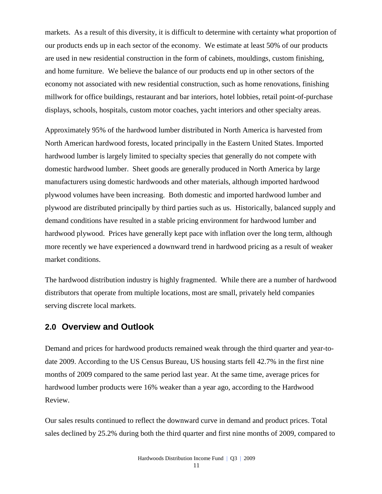markets. As a result of this diversity, it is difficult to determine with certainty what proportion of our products ends up in each sector of the economy. We estimate at least 50% of our products are used in new residential construction in the form of cabinets, mouldings, custom finishing, and home furniture. We believe the balance of our products end up in other sectors of the economy not associated with new residential construction, such as home renovations, finishing millwork for office buildings, restaurant and bar interiors, hotel lobbies, retail point-of-purchase displays, schools, hospitals, custom motor coaches, yacht interiors and other specialty areas.

Approximately 95% of the hardwood lumber distributed in North America is harvested from North American hardwood forests, located principally in the Eastern United States. Imported hardwood lumber is largely limited to specialty species that generally do not compete with domestic hardwood lumber. Sheet goods are generally produced in North America by large manufacturers using domestic hardwoods and other materials, although imported hardwood plywood volumes have been increasing. Both domestic and imported hardwood lumber and plywood are distributed principally by third parties such as us. Historically, balanced supply and demand conditions have resulted in a stable pricing environment for hardwood lumber and hardwood plywood. Prices have generally kept pace with inflation over the long term, although more recently we have experienced a downward trend in hardwood pricing as a result of weaker market conditions.

The hardwood distribution industry is highly fragmented. While there are a number of hardwood distributors that operate from multiple locations, most are small, privately held companies serving discrete local markets.

### **2.0 Overview and Outlook**

Demand and prices for hardwood products remained weak through the third quarter and year-todate 2009. According to the US Census Bureau, US housing starts fell 42.7% in the first nine months of 2009 compared to the same period last year. At the same time, average prices for hardwood lumber products were 16% weaker than a year ago, according to the Hardwood Review.

Our sales results continued to reflect the downward curve in demand and product prices. Total sales declined by 25.2% during both the third quarter and first nine months of 2009, compared to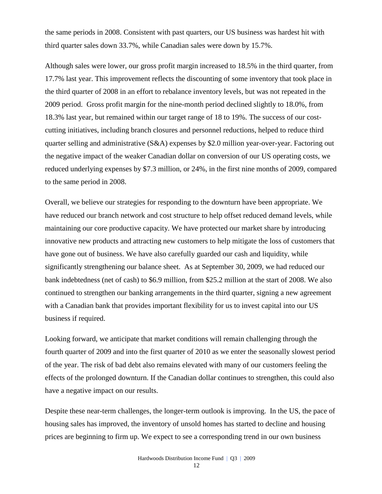the same periods in 2008. Consistent with past quarters, our US business was hardest hit with third quarter sales down 33.7%, while Canadian sales were down by 15.7%.

Although sales were lower, our gross profit margin increased to 18.5% in the third quarter, from 17.7% last year. This improvement reflects the discounting of some inventory that took place in the third quarter of 2008 in an effort to rebalance inventory levels, but was not repeated in the 2009 period. Gross profit margin for the nine-month period declined slightly to 18.0%, from 18.3% last year, but remained within our target range of 18 to 19%. The success of our costcutting initiatives, including branch closures and personnel reductions, helped to reduce third quarter selling and administrative (S&A) expenses by \$2.0 million year-over-year. Factoring out the negative impact of the weaker Canadian dollar on conversion of our US operating costs, we reduced underlying expenses by \$7.3 million, or 24%, in the first nine months of 2009, compared to the same period in 2008.

Overall, we believe our strategies for responding to the downturn have been appropriate. We have reduced our branch network and cost structure to help offset reduced demand levels, while maintaining our core productive capacity. We have protected our market share by introducing innovative new products and attracting new customers to help mitigate the loss of customers that have gone out of business. We have also carefully guarded our cash and liquidity, while significantly strengthening our balance sheet. As at September 30, 2009, we had reduced our bank indebtedness (net of cash) to \$6.9 million, from \$25.2 million at the start of 2008. We also continued to strengthen our banking arrangements in the third quarter, signing a new agreement with a Canadian bank that provides important flexibility for us to invest capital into our US business if required.

Looking forward, we anticipate that market conditions will remain challenging through the fourth quarter of 2009 and into the first quarter of 2010 as we enter the seasonally slowest period of the year. The risk of bad debt also remains elevated with many of our customers feeling the effects of the prolonged downturn. If the Canadian dollar continues to strengthen, this could also have a negative impact on our results.

Despite these near-term challenges, the longer-term outlook is improving. In the US, the pace of housing sales has improved, the inventory of unsold homes has started to decline and housing prices are beginning to firm up. We expect to see a corresponding trend in our own business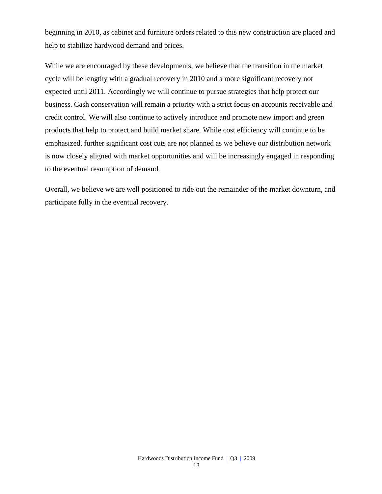beginning in 2010, as cabinet and furniture orders related to this new construction are placed and help to stabilize hardwood demand and prices.

While we are encouraged by these developments, we believe that the transition in the market cycle will be lengthy with a gradual recovery in 2010 and a more significant recovery not expected until 2011. Accordingly we will continue to pursue strategies that help protect our business. Cash conservation will remain a priority with a strict focus on accounts receivable and credit control. We will also continue to actively introduce and promote new import and green products that help to protect and build market share. While cost efficiency will continue to be emphasized, further significant cost cuts are not planned as we believe our distribution network is now closely aligned with market opportunities and will be increasingly engaged in responding to the eventual resumption of demand.

Overall, we believe we are well positioned to ride out the remainder of the market downturn, and participate fully in the eventual recovery.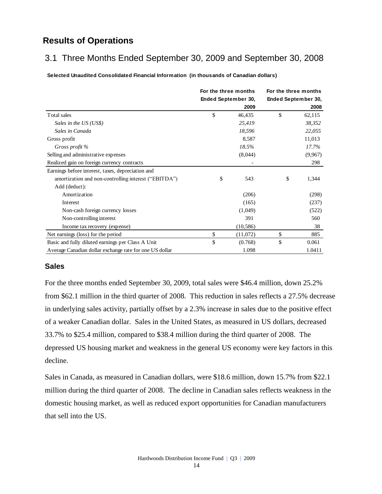## **Results of Operations**

## 3.1 Three Months Ended September 30, 2009 and September 30, 2008

**Selected Unaudited Consolidated Financial Information (in thousands of Canadian dollars)**

|                                                         | For the three months |           | For the three months |         |  |
|---------------------------------------------------------|----------------------|-----------|----------------------|---------|--|
|                                                         | Ended September 30,  |           | Ended September 30,  |         |  |
|                                                         |                      | 2009      |                      | 2008    |  |
| Total sales                                             | \$                   | 46,435    | \$                   | 62,115  |  |
| Sales in the US (US\$)                                  |                      | 25,419    |                      | 38,352  |  |
| Sales in Canada                                         |                      | 18,596    |                      | 22,055  |  |
| Gross profit                                            |                      | 8,587     |                      | 11,013  |  |
| Gross profit %                                          |                      | 18.5%     |                      | 17.7%   |  |
| Selling and administrative expenses                     |                      | (8,044)   |                      | (9,967) |  |
| Realized gain on foreign currency contracts             |                      |           |                      | 298     |  |
| Earnings before interest, taxes, depreciation and       |                      |           |                      |         |  |
| amortization and non-controlling interest ("EBITDA")    | \$                   | 543       | \$                   | 1,344   |  |
| Add (deduct):                                           |                      |           |                      |         |  |
| Amortization                                            |                      | (206)     |                      | (298)   |  |
| Interest                                                |                      | (165)     |                      | (237)   |  |
| Non-cash foreign currency losses                        |                      | (1,049)   |                      | (522)   |  |
| Non-controlling interest                                |                      | 391       |                      | 560     |  |
| Income tax recovery (expense)                           |                      | (10, 586) |                      | 38      |  |
| Net earnings (loss) for the period                      | \$                   | (11,072)  | \$                   | 885     |  |
| Basic and fully diluted earnings per Class A Unit       | \$                   | (0.768)   | \$                   | 0.061   |  |
| Average Canadian dollar exchange rate for one US dollar |                      | 1.098     |                      | 1.0411  |  |

#### **Sales**

For the three months ended September 30, 2009, total sales were \$46.4 million, down 25.2% from \$62.1 million in the third quarter of 2008. This reduction in sales reflects a 27.5% decrease in underlying sales activity, partially offset by a 2.3% increase in sales due to the positive effect of a weaker Canadian dollar. Sales in the United States, as measured in US dollars, decreased 33.7% to \$25.4 million, compared to \$38.4 million during the third quarter of 2008. The depressed US housing market and weakness in the general US economy were key factors in this decline.

Sales in Canada, as measured in Canadian dollars, were \$18.6 million, down 15.7% from \$22.1 million during the third quarter of 2008. The decline in Canadian sales reflects weakness in the domestic housing market, as well as reduced export opportunities for Canadian manufacturers that sell into the US.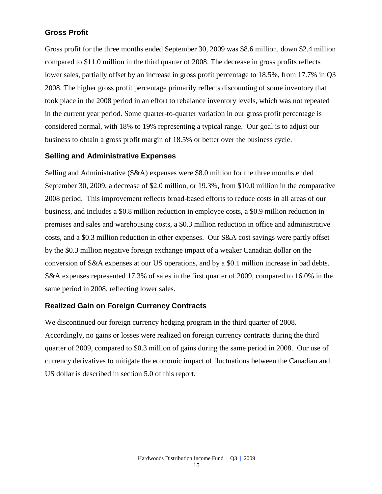### **Gross Profit**

Gross profit for the three months ended September 30, 2009 was \$8.6 million, down \$2.4 million compared to \$11.0 million in the third quarter of 2008. The decrease in gross profits reflects lower sales, partially offset by an increase in gross profit percentage to 18.5%, from 17.7% in Q3 2008. The higher gross profit percentage primarily reflects discounting of some inventory that took place in the 2008 period in an effort to rebalance inventory levels, which was not repeated in the current year period. Some quarter-to-quarter variation in our gross profit percentage is considered normal, with 18% to 19% representing a typical range. Our goal is to adjust our business to obtain a gross profit margin of 18.5% or better over the business cycle.

### **Selling and Administrative Expenses**

Selling and Administrative (S&A) expenses were \$8.0 million for the three months ended September 30, 2009, a decrease of \$2.0 million, or 19.3%, from \$10.0 million in the comparative 2008 period. This improvement reflects broad-based efforts to reduce costs in all areas of our business, and includes a \$0.8 million reduction in employee costs, a \$0.9 million reduction in premises and sales and warehousing costs, a \$0.3 million reduction in office and administrative costs, and a \$0.3 million reduction in other expenses. Our S&A cost savings were partly offset by the \$0.3 million negative foreign exchange impact of a weaker Canadian dollar on the conversion of S&A expenses at our US operations, and by a \$0.1 million increase in bad debts. S&A expenses represented 17.3% of sales in the first quarter of 2009, compared to 16.0% in the same period in 2008, reflecting lower sales.

### **Realized Gain on Foreign Currency Contracts**

We discontinued our foreign currency hedging program in the third quarter of 2008. Accordingly, no gains or losses were realized on foreign currency contracts during the third quarter of 2009, compared to \$0.3 million of gains during the same period in 2008. Our use of currency derivatives to mitigate the economic impact of fluctuations between the Canadian and US dollar is described in section 5.0 of this report.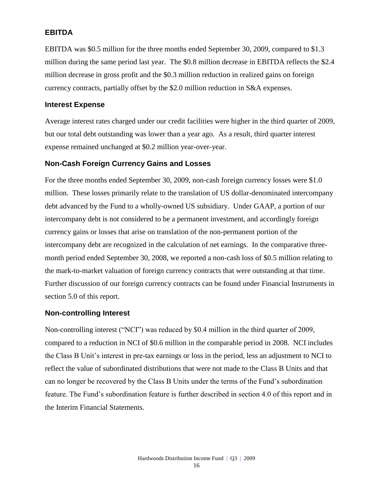### **EBITDA**

EBITDA was \$0.5 million for the three months ended September 30, 2009, compared to \$1.3 million during the same period last year. The \$0.8 million decrease in EBITDA reflects the \$2.4 million decrease in gross profit and the \$0.3 million reduction in realized gains on foreign currency contracts, partially offset by the \$2.0 million reduction in S&A expenses.

#### **Interest Expense**

Average interest rates charged under our credit facilities were higher in the third quarter of 2009, but our total debt outstanding was lower than a year ago. As a result, third quarter interest expense remained unchanged at \$0.2 million year-over-year.

### **Non-Cash Foreign Currency Gains and Losses**

For the three months ended September 30, 2009, non-cash foreign currency losses were \$1.0 million. These losses primarily relate to the translation of US dollar-denominated intercompany debt advanced by the Fund to a wholly-owned US subsidiary. Under GAAP, a portion of our intercompany debt is not considered to be a permanent investment, and accordingly foreign currency gains or losses that arise on translation of the non-permanent portion of the intercompany debt are recognized in the calculation of net earnings. In the comparative threemonth period ended September 30, 2008, we reported a non-cash loss of \$0.5 million relating to the mark-to-market valuation of foreign currency contracts that were outstanding at that time. Further discussion of our foreign currency contracts can be found under Financial Instruments in section 5.0 of this report.

### **Non-controlling Interest**

Non-controlling interest ("NCI") was reduced by \$0.4 million in the third quarter of 2009, compared to a reduction in NCI of \$0.6 million in the comparable period in 2008. NCI includes the Class B Unit's interest in pre-tax earnings or loss in the period, less an adjustment to NCI to reflect the value of subordinated distributions that were not made to the Class B Units and that can no longer be recovered by the Class B Units under the terms of the Fund's subordination feature. The Fund's subordination feature is further described in section 4.0 of this report and in the Interim Financial Statements.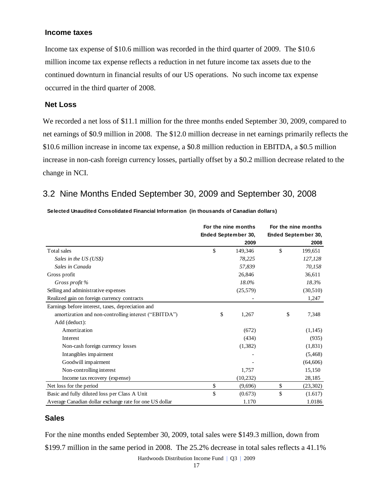#### **Income taxes**

Income tax expense of \$10.6 million was recorded in the third quarter of 2009. The \$10.6 million income tax expense reflects a reduction in net future income tax assets due to the continued downturn in financial results of our US operations. No such income tax expense occurred in the third quarter of 2008.

#### **Net Loss**

We recorded a net loss of \$11.1 million for the three months ended September 30, 2009, compared to net earnings of \$0.9 million in 2008. The \$12.0 million decrease in net earnings primarily reflects the \$10.6 million increase in income tax expense, a \$0.8 million reduction in EBITDA, a \$0.5 million increase in non-cash foreign currency losses, partially offset by a \$0.2 million decrease related to the change in NCI.

### 3.2 Nine Months Ended September 30, 2009 and September 30, 2008

| For the nine months | For the nine months                                                                       |  |
|---------------------|-------------------------------------------------------------------------------------------|--|
| Ended September 30, | Ended September 30,                                                                       |  |
| 2009                | 2008                                                                                      |  |
| 149,346             | \$<br>199,651                                                                             |  |
| 78,225              | 127,128                                                                                   |  |
| 57,839              | 70,158                                                                                    |  |
| 26,846              | 36,611                                                                                    |  |
| 18.0%               | 18.3%                                                                                     |  |
| (25,579)            | (30,510)                                                                                  |  |
|                     | 1,247                                                                                     |  |
|                     |                                                                                           |  |
| 1,267               | \$<br>7,348                                                                               |  |
|                     |                                                                                           |  |
| (672)               | (1,145)                                                                                   |  |
| (434)               | (935)                                                                                     |  |
| (1, 382)            | (1,831)                                                                                   |  |
|                     | (5, 468)                                                                                  |  |
|                     | (64, 606)                                                                                 |  |
| 1,757               | 15,150                                                                                    |  |
| (10, 232)           | 28,185                                                                                    |  |
| (9,696)             | \$<br>(23,302)                                                                            |  |
| (0.673)             | \$<br>(1.617)                                                                             |  |
| 1.170               | 1.0186                                                                                    |  |
|                     | For the nine months ended September 30, 2009, total sales were \$149.3 million, down from |  |

### **Sales**

For the nine months ended September 30, 2009, total sales were \$149.3 million, down from

Hardwoods Distribution Income Fund | Q3 | 2009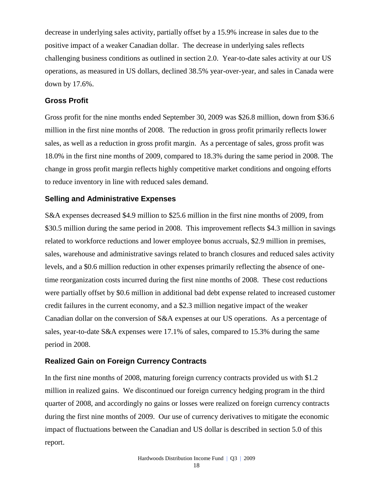decrease in underlying sales activity, partially offset by a 15.9% increase in sales due to the positive impact of a weaker Canadian dollar. The decrease in underlying sales reflects challenging business conditions as outlined in section 2.0. Year-to-date sales activity at our US operations, as measured in US dollars, declined 38.5% year-over-year, and sales in Canada were down by 17.6%.

#### **Gross Profit**

Gross profit for the nine months ended September 30, 2009 was \$26.8 million, down from \$36.6 million in the first nine months of 2008. The reduction in gross profit primarily reflects lower sales, as well as a reduction in gross profit margin. As a percentage of sales, gross profit was 18.0% in the first nine months of 2009, compared to 18.3% during the same period in 2008. The change in gross profit margin reflects highly competitive market conditions and ongoing efforts to reduce inventory in line with reduced sales demand.

#### **Selling and Administrative Expenses**

S&A expenses decreased \$4.9 million to \$25.6 million in the first nine months of 2009, from \$30.5 million during the same period in 2008. This improvement reflects \$4.3 million in savings related to workforce reductions and lower employee bonus accruals, \$2.9 million in premises, sales, warehouse and administrative savings related to branch closures and reduced sales activity levels, and a \$0.6 million reduction in other expenses primarily reflecting the absence of onetime reorganization costs incurred during the first nine months of 2008. These cost reductions were partially offset by \$0.6 million in additional bad debt expense related to increased customer credit failures in the current economy, and a \$2.3 million negative impact of the weaker Canadian dollar on the conversion of S&A expenses at our US operations. As a percentage of sales, year-to-date S&A expenses were 17.1% of sales, compared to 15.3% during the same period in 2008.

#### **Realized Gain on Foreign Currency Contracts**

In the first nine months of 2008, maturing foreign currency contracts provided us with \$1.2 million in realized gains. We discontinued our foreign currency hedging program in the third quarter of 2008, and accordingly no gains or losses were realized on foreign currency contracts during the first nine months of 2009. Our use of currency derivatives to mitigate the economic impact of fluctuations between the Canadian and US dollar is described in section 5.0 of this report.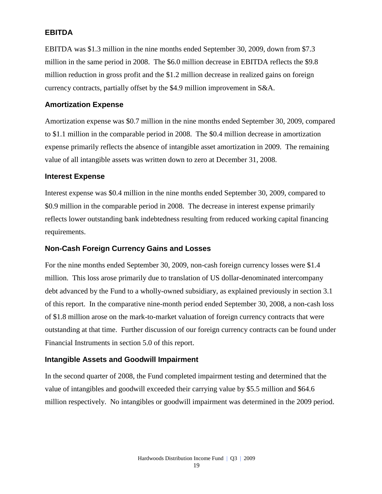### **EBITDA**

EBITDA was \$1.3 million in the nine months ended September 30, 2009, down from \$7.3 million in the same period in 2008. The \$6.0 million decrease in EBITDA reflects the \$9.8 million reduction in gross profit and the \$1.2 million decrease in realized gains on foreign currency contracts, partially offset by the \$4.9 million improvement in S&A.

#### **Amortization Expense**

Amortization expense was \$0.7 million in the nine months ended September 30, 2009, compared to \$1.1 million in the comparable period in 2008. The \$0.4 million decrease in amortization expense primarily reflects the absence of intangible asset amortization in 2009. The remaining value of all intangible assets was written down to zero at December 31, 2008.

#### **Interest Expense**

Interest expense was \$0.4 million in the nine months ended September 30, 2009, compared to \$0.9 million in the comparable period in 2008. The decrease in interest expense primarily reflects lower outstanding bank indebtedness resulting from reduced working capital financing requirements.

### **Non-Cash Foreign Currency Gains and Losses**

For the nine months ended September 30, 2009, non-cash foreign currency losses were \$1.4 million. This loss arose primarily due to translation of US dollar-denominated intercompany debt advanced by the Fund to a wholly-owned subsidiary, as explained previously in section 3.1 of this report. In the comparative nine-month period ended September 30, 2008, a non-cash loss of \$1.8 million arose on the mark-to-market valuation of foreign currency contracts that were outstanding at that time. Further discussion of our foreign currency contracts can be found under Financial Instruments in section 5.0 of this report.

### **Intangible Assets and Goodwill Impairment**

In the second quarter of 2008, the Fund completed impairment testing and determined that the value of intangibles and goodwill exceeded their carrying value by \$5.5 million and \$64.6 million respectively. No intangibles or goodwill impairment was determined in the 2009 period.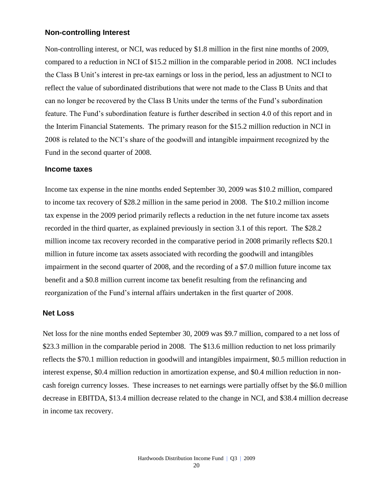#### **Non-controlling Interest**

Non-controlling interest, or NCI, was reduced by \$1.8 million in the first nine months of 2009, compared to a reduction in NCI of \$15.2 million in the comparable period in 2008. NCI includes the Class B Unit's interest in pre-tax earnings or loss in the period, less an adjustment to NCI to reflect the value of subordinated distributions that were not made to the Class B Units and that can no longer be recovered by the Class B Units under the terms of the Fund's subordination feature. The Fund's subordination feature is further described in section 4.0 of this report and in the Interim Financial Statements. The primary reason for the \$15.2 million reduction in NCI in 2008 is related to the NCI's share of the goodwill and intangible impairment recognized by the Fund in the second quarter of 2008.

#### **Income taxes**

Income tax expense in the nine months ended September 30, 2009 was \$10.2 million, compared to income tax recovery of \$28.2 million in the same period in 2008. The \$10.2 million income tax expense in the 2009 period primarily reflects a reduction in the net future income tax assets recorded in the third quarter, as explained previously in section 3.1 of this report. The \$28.2 million income tax recovery recorded in the comparative period in 2008 primarily reflects \$20.1 million in future income tax assets associated with recording the goodwill and intangibles impairment in the second quarter of 2008, and the recording of a \$7.0 million future income tax benefit and a \$0.8 million current income tax benefit resulting from the refinancing and reorganization of the Fund's internal affairs undertaken in the first quarter of 2008.

#### **Net Loss**

Net loss for the nine months ended September 30, 2009 was \$9.7 million, compared to a net loss of \$23.3 million in the comparable period in 2008. The \$13.6 million reduction to net loss primarily reflects the \$70.1 million reduction in goodwill and intangibles impairment, \$0.5 million reduction in interest expense, \$0.4 million reduction in amortization expense, and \$0.4 million reduction in noncash foreign currency losses. These increases to net earnings were partially offset by the \$6.0 million decrease in EBITDA, \$13.4 million decrease related to the change in NCI, and \$38.4 million decrease in income tax recovery.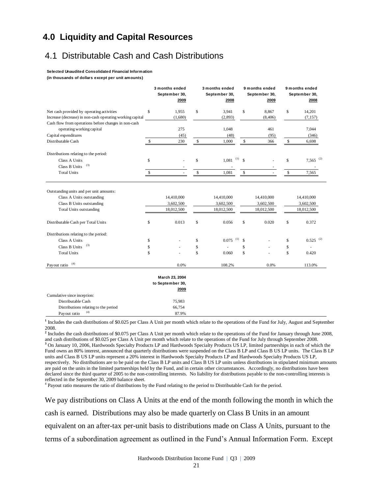### **4.0 Liquidity and Capital Resources**

### 4.1 Distributable Cash and Cash Distributions

**Selected Unaudited Consolidated Financial Information** 

**(in thousands of dollars except per unit amounts)**

|                                                                                                                                     | 3 months ended<br>September 30,<br>2009 |    | 3 months ended<br>September 30,<br>2008 |    | 9 months ended<br>September 30,<br>2009 | 9 months ended<br>September 30,<br>2008 |                                       |  |
|-------------------------------------------------------------------------------------------------------------------------------------|-----------------------------------------|----|-----------------------------------------|----|-----------------------------------------|-----------------------------------------|---------------------------------------|--|
|                                                                                                                                     |                                         |    |                                         |    |                                         |                                         |                                       |  |
| Net cash provided by operating activities                                                                                           | \$<br>1,955                             | \$ | 3,941                                   | \$ | 8,867                                   | \$                                      | 14,201                                |  |
| Increase (decrease) in non-cash operating working capital                                                                           | (1,680)                                 |    | (2,893)                                 |    | (8, 406)                                |                                         | (7, 157)                              |  |
| Cash flow from operations before changes in non-cash                                                                                |                                         |    |                                         |    |                                         |                                         |                                       |  |
| operating working capital                                                                                                           | 275                                     |    | 1,048                                   |    | 461                                     |                                         | 7,044                                 |  |
| Capital expenditures                                                                                                                | (45)                                    |    | (48)                                    |    | (95)                                    |                                         | (346)                                 |  |
| Distributable Cash                                                                                                                  | \$<br>230                               | \$ | 1,000                                   | \$ | 366                                     | \$                                      | 6,698                                 |  |
| Distributions relating to the period:                                                                                               |                                         |    |                                         |    |                                         |                                         |                                       |  |
| Class A Units                                                                                                                       | \$                                      | \$ | $(1)$ \$<br>1,081                       |    |                                         | \$                                      | $7,565$ <sup>(2)</sup>                |  |
| (3)<br>Class B Units                                                                                                                |                                         |    |                                         |    |                                         |                                         | $\overline{\phantom{a}}$              |  |
| <b>Total Units</b>                                                                                                                  | \$                                      | \$ | 1,081                                   | \$ |                                         | \$                                      | 7,565                                 |  |
| Outstanding units and per unit amounts:<br>Class A Units outstanding<br>Class B Units outstanding<br><b>Total Units outstanding</b> | 14,410,000<br>3,602,500<br>18,012,500   |    | 14,410,000<br>3,602,500<br>18,012,500   |    | 14,410,000<br>3,602,500<br>18,012,500   |                                         | 14,410,000<br>3,602,500<br>18,012,500 |  |
| Distributable Cash per Total Units                                                                                                  | \$<br>0.013                             | \$ | 0.056                                   | \$ | 0.020                                   | \$                                      | 0.372                                 |  |
| Distributions relating to the period:                                                                                               |                                         |    |                                         |    |                                         |                                         |                                       |  |
| Class A Units                                                                                                                       | \$                                      | \$ | (1)<br>0.075                            | \$ |                                         | \$                                      | $0.525$ <sup>(2)</sup>                |  |
| (3)<br>Class B Units                                                                                                                | \$                                      | \$ |                                         | \$ |                                         | \$                                      | ä,                                    |  |
| <b>Total Units</b>                                                                                                                  | \$                                      | \$ | 0.060                                   | \$ |                                         | \$                                      | 0.420                                 |  |
| (4)<br>Payout ratio                                                                                                                 | 0.0%                                    |    | 108.2%                                  |    | 0.0%                                    |                                         | 113.0%                                |  |
|                                                                                                                                     | March 23, 2004                          |    |                                         |    |                                         |                                         |                                       |  |
|                                                                                                                                     | to September 30,                        |    |                                         |    |                                         |                                         |                                       |  |
|                                                                                                                                     | 2009                                    |    |                                         |    |                                         |                                         |                                       |  |
| Cumulative since inception:                                                                                                         |                                         |    |                                         |    |                                         |                                         |                                       |  |
| Distributable Cash                                                                                                                  | 75,983                                  |    |                                         |    |                                         |                                         |                                       |  |
| Distributions relating to the period                                                                                                | 66,754                                  |    |                                         |    |                                         |                                         |                                       |  |
| (4)<br>Pavout ratio                                                                                                                 | 87.9%                                   |    |                                         |    |                                         |                                         |                                       |  |

**1** Includes the cash distributions of \$0.025 per Class A Unit per month which relate to the operations of the Fund for July, August and September 2008.

<sup>2</sup> Includes the cash distributions of \$0.075 per Class A Unit per month which relate to the operations of the Fund for January through June 2008, and cash distributions of \$0.025 per Class A Unit per month which relate to the operations of the Fund for July through September 2008. **<sup>3</sup>** On January 10, 2006, Hardwoods Specialty Products LP and Hardwoods Specialty Products US LP, limited partnerships in each of which the Fund owns an 80% interest, announced that quarterly distributions were suspended on the Class B LP and Class B US LP units. The Class B LP units and Class B US LP units represent a 20% interest in Hardwoods Specialty Products LP and Hardwoods Specialty Products US LP, respectively. No distributions are to be paid on the Class B LP units and Class B US LP units unless distributions in stipulated minimum amounts are paid on the units in the limited partnerships held by the Fund, and in certain other circumstances. Accordingly, no distributions have been declared since the third quarter of 2005 to the non-controlling interests. No liability for distributions payable to the non-controlling interests is reflected in the September 30, 2009 balance sheet.

<sup>4</sup> Payout ratio measures the ratio of distributions by the Fund relating to the period to Distributable Cash for the period.

We pay distributions on Class A Units at the end of the month following the month in which the cash is earned. Distributions may also be made quarterly on Class B Units in an amount equivalent on an after-tax per-unit basis to distributions made on Class A Units, pursuant to the terms of a subordination agreement as outlined in the Fund's Annual Information Form. Except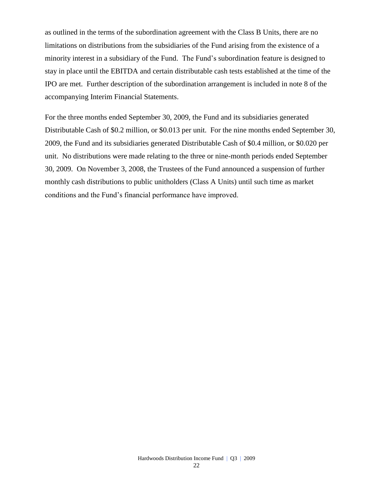as outlined in the terms of the subordination agreement with the Class B Units, there are no limitations on distributions from the subsidiaries of the Fund arising from the existence of a minority interest in a subsidiary of the Fund. The Fund's subordination feature is designed to stay in place until the EBITDA and certain distributable cash tests established at the time of the IPO are met. Further description of the subordination arrangement is included in note 8 of the accompanying Interim Financial Statements.

For the three months ended September 30, 2009, the Fund and its subsidiaries generated Distributable Cash of \$0.2 million, or \$0.013 per unit. For the nine months ended September 30, 2009, the Fund and its subsidiaries generated Distributable Cash of \$0.4 million, or \$0.020 per unit. No distributions were made relating to the three or nine-month periods ended September 30, 2009. On November 3, 2008, the Trustees of the Fund announced a suspension of further monthly cash distributions to public unitholders (Class A Units) until such time as market conditions and the Fund's financial performance have improved.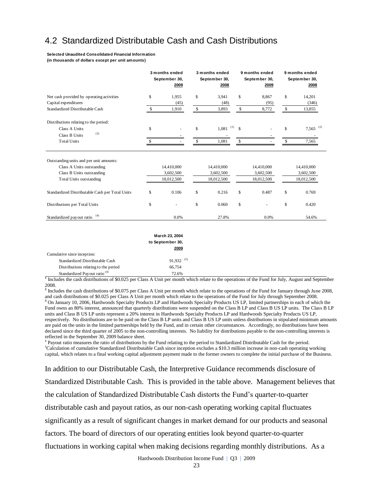### 4.2 Standardized Distributable Cash and Cash Distributions

### **(in thousands of dollars except per unit amounts)**

|                                                                                                                                                                                                                                                                                                                                                                                                                                                                                                                                                                                                                                                                                                                                                                                                                                                                                                                                                                                                                                                                                                                                                                                                                                                                                                                                                                                                                                                                                                                                                                                                                                                                                                                               | 3 months ended<br>September 30,<br>2009 | 3 months ended<br>September 30,<br>2008 | 9 months ended<br>September 30,<br>2009 | 9 months ended<br>September 30,<br>2008 |
|-------------------------------------------------------------------------------------------------------------------------------------------------------------------------------------------------------------------------------------------------------------------------------------------------------------------------------------------------------------------------------------------------------------------------------------------------------------------------------------------------------------------------------------------------------------------------------------------------------------------------------------------------------------------------------------------------------------------------------------------------------------------------------------------------------------------------------------------------------------------------------------------------------------------------------------------------------------------------------------------------------------------------------------------------------------------------------------------------------------------------------------------------------------------------------------------------------------------------------------------------------------------------------------------------------------------------------------------------------------------------------------------------------------------------------------------------------------------------------------------------------------------------------------------------------------------------------------------------------------------------------------------------------------------------------------------------------------------------------|-----------------------------------------|-----------------------------------------|-----------------------------------------|-----------------------------------------|
| Net cash provided by operating activities                                                                                                                                                                                                                                                                                                                                                                                                                                                                                                                                                                                                                                                                                                                                                                                                                                                                                                                                                                                                                                                                                                                                                                                                                                                                                                                                                                                                                                                                                                                                                                                                                                                                                     | \$<br>1,955                             | \$<br>3,941                             | \$<br>8,867                             | \$<br>14,201                            |
| Capital expenditures<br>Standardized Distributable Cash                                                                                                                                                                                                                                                                                                                                                                                                                                                                                                                                                                                                                                                                                                                                                                                                                                                                                                                                                                                                                                                                                                                                                                                                                                                                                                                                                                                                                                                                                                                                                                                                                                                                       | \$<br>(45)<br>1,910                     | \$<br>(48)<br>3,893                     | \$<br>(95)<br>8,772                     | \$<br>(346)<br>13,855                   |
|                                                                                                                                                                                                                                                                                                                                                                                                                                                                                                                                                                                                                                                                                                                                                                                                                                                                                                                                                                                                                                                                                                                                                                                                                                                                                                                                                                                                                                                                                                                                                                                                                                                                                                                               |                                         |                                         |                                         |                                         |
| Distributions relating to the period:<br>Class A Units                                                                                                                                                                                                                                                                                                                                                                                                                                                                                                                                                                                                                                                                                                                                                                                                                                                                                                                                                                                                                                                                                                                                                                                                                                                                                                                                                                                                                                                                                                                                                                                                                                                                        | \$                                      | \$<br>$\left(1\right)$<br>1,081         | \$                                      | \$<br>(2)<br>7,565                      |
| (3)<br>Class B Units                                                                                                                                                                                                                                                                                                                                                                                                                                                                                                                                                                                                                                                                                                                                                                                                                                                                                                                                                                                                                                                                                                                                                                                                                                                                                                                                                                                                                                                                                                                                                                                                                                                                                                          |                                         |                                         |                                         |                                         |
| <b>Total Units</b>                                                                                                                                                                                                                                                                                                                                                                                                                                                                                                                                                                                                                                                                                                                                                                                                                                                                                                                                                                                                                                                                                                                                                                                                                                                                                                                                                                                                                                                                                                                                                                                                                                                                                                            | \$                                      | \$<br>1,081                             | \$                                      | \$<br>7,565                             |
| Outstanding units and per unit amounts:                                                                                                                                                                                                                                                                                                                                                                                                                                                                                                                                                                                                                                                                                                                                                                                                                                                                                                                                                                                                                                                                                                                                                                                                                                                                                                                                                                                                                                                                                                                                                                                                                                                                                       |                                         |                                         |                                         |                                         |
| Class A Units outstanding                                                                                                                                                                                                                                                                                                                                                                                                                                                                                                                                                                                                                                                                                                                                                                                                                                                                                                                                                                                                                                                                                                                                                                                                                                                                                                                                                                                                                                                                                                                                                                                                                                                                                                     | 14,410,000                              | 14,410,000                              | 14,410,000                              | 14,410,000                              |
| Class B Units outstanding<br><b>Total Units outstanding</b>                                                                                                                                                                                                                                                                                                                                                                                                                                                                                                                                                                                                                                                                                                                                                                                                                                                                                                                                                                                                                                                                                                                                                                                                                                                                                                                                                                                                                                                                                                                                                                                                                                                                   | 3,602,500<br>18,012,500                 | 3,602,500<br>18,012,500                 | 3,602,500<br>18,012,500                 | 3,602,500<br>18,012,500                 |
|                                                                                                                                                                                                                                                                                                                                                                                                                                                                                                                                                                                                                                                                                                                                                                                                                                                                                                                                                                                                                                                                                                                                                                                                                                                                                                                                                                                                                                                                                                                                                                                                                                                                                                                               |                                         |                                         |                                         |                                         |
| Standardized Distributable Cash per Total Units                                                                                                                                                                                                                                                                                                                                                                                                                                                                                                                                                                                                                                                                                                                                                                                                                                                                                                                                                                                                                                                                                                                                                                                                                                                                                                                                                                                                                                                                                                                                                                                                                                                                               | \$<br>0.106                             | \$<br>0.216                             | \$<br>0.487                             | \$<br>0.769                             |
| Distributions per Total Units                                                                                                                                                                                                                                                                                                                                                                                                                                                                                                                                                                                                                                                                                                                                                                                                                                                                                                                                                                                                                                                                                                                                                                                                                                                                                                                                                                                                                                                                                                                                                                                                                                                                                                 | \$                                      | \$<br>0.060                             | \$                                      | \$<br>0.420                             |
| Standardized payout ratio <sup>(4)</sup>                                                                                                                                                                                                                                                                                                                                                                                                                                                                                                                                                                                                                                                                                                                                                                                                                                                                                                                                                                                                                                                                                                                                                                                                                                                                                                                                                                                                                                                                                                                                                                                                                                                                                      | 0.0%                                    | 27.8%                                   | 0.0%                                    | 54.6%                                   |
| Includes the cash distributions of \$0.025 per Class A Unit per month which relate to the operations of the Fund for July, August and Septen<br>2008.<br><sup>2</sup> Includes the cash distributions of \$0.075 per Class A Unit per month which relate to the operations of the Fund for January through June 20<br>and cash distributions of \$0.025 per Class A Unit per month which relate to the operations of the Fund for July through September 2008.<br><sup>3</sup> On January 10, 2006, Hardwoods Specialty Products LP and Hardwoods Specialty Products US LP, limited partnerships in each of which tl<br>Fund owns an 80% interest, announced that quarterly distributions were suspended on the Class B LP and Class B US LP units. The Class B<br>units and Class B US LP units represent a 20% interest in Hardwoods Specialty Products LP and Hardwoods Specialty Products US LP,<br>respectively. No distributions are to be paid on the Class B LP units and Class B US LP units unless distributions in stipulated minimum am<br>are paid on the units in the limited partnerships held by the Fund, and in certain other circumstances. Accordingly, no distributions have bee<br>declared since the third quarter of 2005 to the non-controlling interests. No liability for distributions payable to the non-controlling interests<br>reflected in the September 30, 2009 balance sheet.<br><sup>4</sup> Payout ratio measures the ratio of distributions by the Fund relating to the period to Standardized Distributable Cash for the period.<br>${}^5$ Calculation of cumulative Standardized Distributable Cash since inception excludes a \$10.3 million increase in non-cash operating working |                                         |                                         |                                         |                                         |
| capital, which relates to a final working capital adjustment payment made to the former owners to complete the initial purchase of the Busine                                                                                                                                                                                                                                                                                                                                                                                                                                                                                                                                                                                                                                                                                                                                                                                                                                                                                                                                                                                                                                                                                                                                                                                                                                                                                                                                                                                                                                                                                                                                                                                 |                                         |                                         |                                         |                                         |
| In addition to our Distributable Cash, the Interpretive Guidance recommends disclosure of                                                                                                                                                                                                                                                                                                                                                                                                                                                                                                                                                                                                                                                                                                                                                                                                                                                                                                                                                                                                                                                                                                                                                                                                                                                                                                                                                                                                                                                                                                                                                                                                                                     |                                         |                                         |                                         |                                         |
| Standardized Distributable Cash. This is provided in the table above. Management believes t                                                                                                                                                                                                                                                                                                                                                                                                                                                                                                                                                                                                                                                                                                                                                                                                                                                                                                                                                                                                                                                                                                                                                                                                                                                                                                                                                                                                                                                                                                                                                                                                                                   |                                         |                                         |                                         |                                         |
| the calculation of Standardized Distributable Cash distorts the Fund's quarter-to-quarter                                                                                                                                                                                                                                                                                                                                                                                                                                                                                                                                                                                                                                                                                                                                                                                                                                                                                                                                                                                                                                                                                                                                                                                                                                                                                                                                                                                                                                                                                                                                                                                                                                     |                                         |                                         |                                         |                                         |
| distributable cash and payout ratios, as our non-cash operating working capital fluctuates                                                                                                                                                                                                                                                                                                                                                                                                                                                                                                                                                                                                                                                                                                                                                                                                                                                                                                                                                                                                                                                                                                                                                                                                                                                                                                                                                                                                                                                                                                                                                                                                                                    |                                         |                                         |                                         |                                         |
| significantly as a result of significant changes in market demand for our products and seasonal                                                                                                                                                                                                                                                                                                                                                                                                                                                                                                                                                                                                                                                                                                                                                                                                                                                                                                                                                                                                                                                                                                                                                                                                                                                                                                                                                                                                                                                                                                                                                                                                                               |                                         |                                         |                                         |                                         |
| factors. The board of directors of our operating entities look beyond quarter-to-quarter                                                                                                                                                                                                                                                                                                                                                                                                                                                                                                                                                                                                                                                                                                                                                                                                                                                                                                                                                                                                                                                                                                                                                                                                                                                                                                                                                                                                                                                                                                                                                                                                                                      |                                         |                                         |                                         |                                         |
| fluctuations in working capital when making decisions regarding monthly distributions. As a                                                                                                                                                                                                                                                                                                                                                                                                                                                                                                                                                                                                                                                                                                                                                                                                                                                                                                                                                                                                                                                                                                                                                                                                                                                                                                                                                                                                                                                                                                                                                                                                                                   |                                         |                                         |                                         |                                         |

|                                                                                                             | March 23, 2004                                                                                    |                    |        |  |  |
|-------------------------------------------------------------------------------------------------------------|---------------------------------------------------------------------------------------------------|--------------------|--------|--|--|
|                                                                                                             | to September 30,                                                                                  |                    |        |  |  |
|                                                                                                             | 2009                                                                                              |                    |        |  |  |
| Cumulative since inception:                                                                                 |                                                                                                   |                    |        |  |  |
| Standardized Distributable Cash                                                                             | $91.932^{(5)}$                                                                                    |                    |        |  |  |
| Distributions relating to the period                                                                        | 66.754                                                                                            |                    |        |  |  |
| Standardized Payout ratio <sup>(4)</sup>                                                                    | 72.6%                                                                                             |                    |        |  |  |
| 0.0000<br>$\mathbf{1}$ $\mathbf{1}$ $\mathbf{1}$ $\mathbf{1}$ $\mathbf{1}$ $\mathbf{1}$<br>$\sim$<br>$\sim$ | $\mathbf{A}$ $\mathbf{F}$ $\mathbf{F}$ $\mathbf{F}$ $\mathbf{F}$<br>$-1$ $-1$ $-1$ $-1$ $-1$ $-1$ | $c \cdot 1$ $\Box$ | $\sim$ |  |  |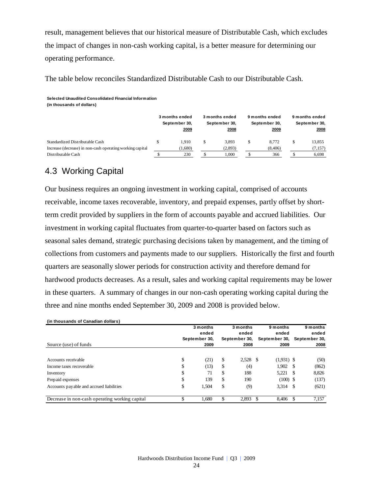result, management believes that our historical measure of Distributable Cash, which excludes the impact of changes in non-cash working capital, is a better measure for determining our operating performance.

The table below reconciles Standardized Distributable Cash to our Distributable Cash.

**Selected Unaudited Consolidated Financial Information (in thousands of dollars)**

|                                                                                              | 3 months ended<br>September 30,<br>2009 | 3 months ended<br>September 30,<br>2008 | 9 months ended<br>September 30,<br>2009 | 9 months ended<br>September 30,<br>2008 |
|----------------------------------------------------------------------------------------------|-----------------------------------------|-----------------------------------------|-----------------------------------------|-----------------------------------------|
| Standardized Distributable Cash<br>Increase (decrease) in non-cash operating working capital | 1.910<br>(1,680)                        | \$<br>3.893<br>(2,893)                  | 8.772<br>(8, 406)                       | 13,855<br>(7, 157)                      |
| Distributable Cash                                                                           | 230                                     | 1.000                                   | 366                                     | 6,698                                   |

## 4.3 Working Capital

Our business requires an ongoing investment in working capital, comprised of accounts receivable, income taxes recoverable, inventory, and prepaid expenses, partly offset by shortterm credit provided by suppliers in the form of accounts payable and accrued liabilities. Our investment in working capital fluctuates from quarter-to-quarter based on factors such as seasonal sales demand, strategic purchasing decisions taken by management, and the timing of collections from customers and payments made to our suppliers. Historically the first and fourth quarters are seasonally slower periods for construction activity and therefore demand for hardwood products decreases. As a result, sales and working capital requirements may be lower in these quarters. A summary of changes in our non-cash operating working capital during the three and nine months ended September 30, 2009 and 2008 is provided below.

| (in thousands of Canadian dollars)             |                       |    |                       |     |                       |      |                       |
|------------------------------------------------|-----------------------|----|-----------------------|-----|-----------------------|------|-----------------------|
|                                                | 3 months              |    | 3 months              |     | 9 months              |      | 9 months              |
|                                                | ended                 |    | ended                 |     | ended                 |      | ended                 |
| Source (use) of funds                          | September 30,<br>2009 |    | September 30,<br>2008 |     | September 30,<br>2009 |      | September 30,<br>2008 |
|                                                |                       |    |                       |     |                       |      |                       |
| Accounts receivable                            | \$<br>(21)            | \$ | $2,528$ \$            |     | $(1,931)$ \$          |      | (50)                  |
| Income taxes recoverable                       | \$<br>(13)            | S  | (4)                   |     | $1,902$ \$            |      | (862)                 |
| Inventory                                      | \$<br>71              | \$ | 188                   |     | 5.221                 | - \$ | 8.826                 |
| Prepaid expenses                               | \$<br>139             | \$ | 190                   |     | $(100)$ \$            |      | (137)                 |
| Accounts payable and accrued liabilities       | \$<br>1,504           | \$ | (9)                   |     | $3,314$ \$            |      | (621)                 |
| Decrease in non-cash operating working capital | \$<br>1.680           |    | 2.893                 | \$. | 8.406                 | - \$ | 7,157                 |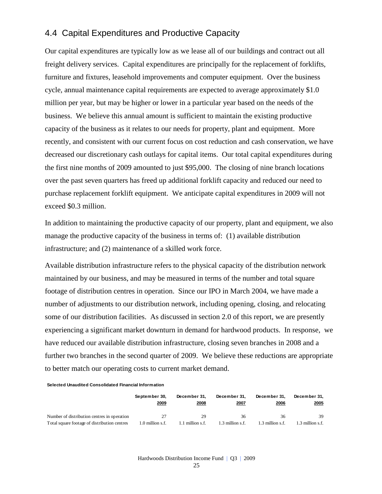### 4.4 Capital Expenditures and Productive Capacity

Our capital expenditures are typically low as we lease all of our buildings and contract out all freight delivery services. Capital expenditures are principally for the replacement of forklifts, furniture and fixtures, leasehold improvements and computer equipment. Over the business cycle, annual maintenance capital requirements are expected to average approximately \$1.0 million per year, but may be higher or lower in a particular year based on the needs of the business. We believe this annual amount is sufficient to maintain the existing productive capacity of the business as it relates to our needs for property, plant and equipment. More recently, and consistent with our current focus on cost reduction and cash conservation, we have decreased our discretionary cash outlays for capital items. Our total capital expenditures during the first nine months of 2009 amounted to just \$95,000. The closing of nine branch locations over the past seven quarters has freed up additional forklift capacity and reduced our need to purchase replacement forklift equipment. We anticipate capital expenditures in 2009 will not exceed \$0.3 million.

In addition to maintaining the productive capacity of our property, plant and equipment, we also manage the productive capacity of the business in terms of: (1) available distribution infrastructure; and (2) maintenance of a skilled work force.

Available distribution infrastructure refers to the physical capacity of the distribution network maintained by our business, and may be measured in terms of the number and total square footage of distribution centres in operation. Since our IPO in March 2004, we have made a number of adjustments to our distribution network, including opening, closing, and relocating some of our distribution facilities. As discussed in section 2.0 of this report, we are presently experiencing a significant market downturn in demand for hardwood products. In response, we have reduced our available distribution infrastructure, closing seven branches in 2008 and a further two branches in the second quarter of 2009. We believe these reductions are appropriate to better match our operating costs to current market demand.

**Selected Unaudited Consolidated Financial Information** 

|                                              | September 30.<br>2009 | December 31.<br>2008 | December 31.<br>2007 | December 31.<br>2006 | December 31.<br>2005 |
|----------------------------------------------|-----------------------|----------------------|----------------------|----------------------|----------------------|
| Number of distribution centres in operation  | 27                    | 29                   | 36                   | 36                   | 39                   |
| Total square footage of distribution centres | 1.0 million s.f.      | 1.1 million s.f.     | 1.3 million s.f.     | 1.3 million s.f.     | 1.3 million s.f.     |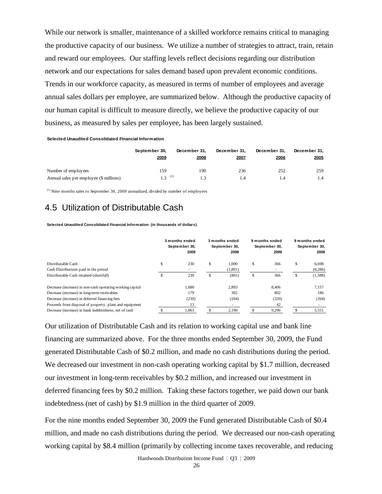While our network is smaller, maintenance of a skilled workforce remains critical to managing the productive capacity of our business. We utilize a number of strategies to attract, train, retain and reward our employees. Our staffing levels reflect decisions regarding our distribution network and our expectations for sales demand based upon prevalent economic conditions. Trends in our workforce capacity, as measured in terms of number of employees and average annual sales dollars per employee, are summarized below. Although the productive capacity of our human capital is difficult to measure directly, we believe the productive capacity of our business, as measured by sales per employee, has been largely sustained.

**Selected Unaudited Consolidated Financial Information** 

|                                         | September 30,<br>2009 | December 31.<br>2008 | December 31.<br>2007 | December 31.<br>2006 | December 31.<br>2005 |
|-----------------------------------------|-----------------------|----------------------|----------------------|----------------------|----------------------|
| Number of employees                     | 159                   | 190                  | 236                  | 252                  | 259                  |
| Annual sales per employee (\$ millions) | $1, 3 \neq (1)$       | 1.3                  | 1.4                  | 1.4                  | 1.4                  |

 $<sup>(1)</sup>$  Nine months sales to September 30, 2009 annualized, divided by number of employees</sup>

### 4.5 Utilization of Distributable Cash

**Selected Unaudited Consolidated Financial Information (in thousands of dollars)**

|                                                           |   | 3 months ended<br>September 30,<br>2009 |    | 3 months ended<br>September 30,<br>2008 | 9 months ended<br>September 30,<br>2009 |    | 9 months ended<br>September 30,<br>2008 |
|-----------------------------------------------------------|---|-----------------------------------------|----|-----------------------------------------|-----------------------------------------|----|-----------------------------------------|
| Distributable Cash                                        | S | 230                                     | \$ | 1.000                                   | \$<br>366                               | \$ | 6,698                                   |
| Cash Distributions paid in the period                     |   |                                         |    | (1,801)                                 | ۰.                                      |    | (8,286)                                 |
| Distributable Cash retained (shortfall)                   | S | 230                                     | S  | (801)                                   | \$<br>366                               | ъ. | (1,588)                                 |
| Decrease (increase) in non-cash operating working capital |   | 1,680                                   |    | 2,893                                   | 8,406                                   |    | 7,157                                   |
| Decrease (increase) in long-term receivables              |   | 179                                     |    | 302                                     | 802                                     |    | 186                                     |
| Decrease (increase) in deferred financing fees            |   | (239)                                   |    | (204)                                   | (320)                                   |    | (204)                                   |
| Proceeds from disposal of property, plant and equipment   |   | 13                                      |    |                                         | 42                                      |    |                                         |
| Decrease (increase) in bank indebtedness, net of cash     |   | 1,863                                   |    | 2,190                                   | 9,296                                   |    | 5,551                                   |

Our utilization of Distributable Cash and its relation to working capital use and bank line financing are summarized above. For the three months ended September 30, 2009, the Fund generated Distributable Cash of \$0.2 million, and made no cash distributions during the period. We decreased our investment in non-cash operating working capital by \$1.7 million, decreased our investment in long-term receivables by \$0.2 million, and increased our investment in deferred financing fees by \$0.2 million. Taking these factors together, we paid down our bank indebtedness (net of cash) by \$1.9 million in the third quarter of 2009.

For the nine months ended September 30, 2009 the Fund generated Distributable Cash of \$0.4 million, and made no cash distributions during the period. We decreased our non-cash operating working capital by \$8.4 million (primarily by collecting income taxes recoverable, and reducing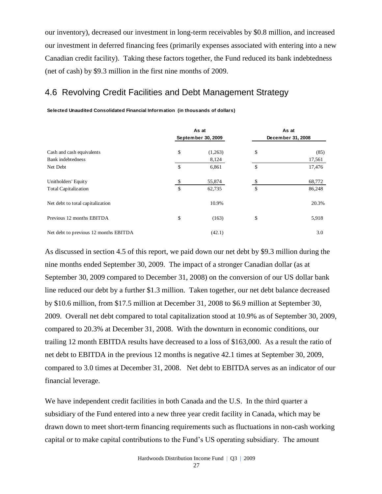our inventory), decreased our investment in long-term receivables by \$0.8 million, and increased our investment in deferred financing fees (primarily expenses associated with entering into a new Canadian credit facility). Taking these factors together, the Fund reduced its bank indebtedness (net of cash) by \$9.3 million in the first nine months of 2009.

### 4.6 Revolving Credit Facilities and Debt Management Strategy

**Selected Unaudited Consolidated Financial Information (in thousands of dollars)**

|                                                    |          | As at<br>September 30, 2009 | As at<br>December 31, 2008 |                  |  |
|----------------------------------------------------|----------|-----------------------------|----------------------------|------------------|--|
| Cash and cash equivalents<br>Bank indebtedness     | \$       | (1,263)<br>8,124            | \$                         | (85)<br>17,561   |  |
| Net Debt                                           | \$       | 6,861                       | \$                         | 17,476           |  |
| Unitholders' Equity<br><b>Total Capitalization</b> | \$<br>\$ | 55,874<br>62,735            | \$<br>\$                   | 68,772<br>86,248 |  |
| Net debt to total capitalization                   |          | 10.9%                       |                            | 20.3%            |  |
| Previous 12 months EBITDA                          | \$       | (163)                       | \$                         | 5,918            |  |
| Net debt to previous 12 months EBITDA              |          | (42.1)                      |                            | 3.0              |  |

As discussed in section 4.5 of this report, we paid down our net debt by \$9.3 million during the nine months ended September 30, 2009. The impact of a stronger Canadian dollar (as at September 30, 2009 compared to December 31, 2008) on the conversion of our US dollar bank line reduced our debt by a further \$1.3 million. Taken together, our net debt balance decreased by \$10.6 million, from \$17.5 million at December 31, 2008 to \$6.9 million at September 30, 2009. Overall net debt compared to total capitalization stood at 10.9% as of September 30, 2009, compared to 20.3% at December 31, 2008. With the downturn in economic conditions, our trailing 12 month EBITDA results have decreased to a loss of \$163,000. As a result the ratio of net debt to EBITDA in the previous 12 months is negative 42.1 times at September 30, 2009, compared to 3.0 times at December 31, 2008. Net debt to EBITDA serves as an indicator of our financial leverage.

We have independent credit facilities in both Canada and the U.S. In the third quarter a subsidiary of the Fund entered into a new three year credit facility in Canada, which may be drawn down to meet short-term financing requirements such as fluctuations in non-cash working capital or to make capital contributions to the Fund's US operating subsidiary. The amount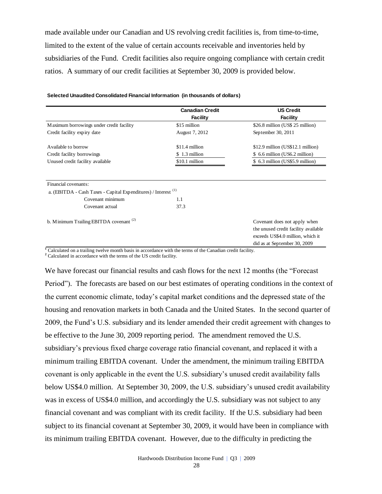made available under our Canadian and US revolving credit facilities is, from time-to-time, limited to the extent of the value of certain accounts receivable and inventories held by subsidiaries of the Fund. Credit facilities also require ongoing compliance with certain credit ratios. A summary of our credit facilities at September 30, 2009 is provided below.

|                                                                                                   | <b>Canadian Credit</b> | <b>US Credit</b>                                                     |
|---------------------------------------------------------------------------------------------------|------------------------|----------------------------------------------------------------------|
|                                                                                                   | <b>Facility</b>        | <b>Facility</b>                                                      |
| Maximum borrowings under credit facility                                                          | \$15 million           | \$26.8 million (US\$ 25 million)                                     |
| Credit facility expiry date                                                                       | August 7, 2012         | September 30, 2011                                                   |
| A vailable to borrow                                                                              | \$11.4 million         | $$12.9$ million (US\$12.1 million)                                   |
| Credit facility borrowings                                                                        | \$1.3 million          | 6.6 million (US6.2 million)<br>S.                                    |
| Unused credit facility available                                                                  | \$10.1 million         | \$ 6.3 million (US\$5.9 million)                                     |
| Financial covenants:<br>a. (EBITDA - Cash Taxes - Capital Expenditures) / Interest <sup>(1)</sup> |                        |                                                                      |
| Covenant minimum                                                                                  | 1.1                    |                                                                      |
| Covenant actual                                                                                   | 37.3                   |                                                                      |
| b. Minimum Trailing EBITDA covenant <sup>(2)</sup>                                                |                        | Covenant does not apply when<br>the unused credit facility available |
|                                                                                                   |                        | exceeds US\$4.0 million, which it                                    |
|                                                                                                   |                        | did as at September 30, 2009                                         |

**Selected Unaudited Consolidated Financial Information (in thousands of dollars)**

**<sup>1</sup>** Calculated on a trailing twelve month basis in accordance with the terms of the Canadian credit facility.

**<sup>2</sup>** Calculated in accordance with the terms of the US credit facility.

We have forecast our financial results and cash flows for the next 12 months (the "Forecast Period"). The forecasts are based on our best estimates of operating conditions in the context of the current economic climate, today's capital market conditions and the depressed state of the housing and renovation markets in both Canada and the United States. In the second quarter of 2009, the Fund's U.S. subsidiary and its lender amended their credit agreement with changes to be effective to the June 30, 2009 reporting period. The amendment removed the U.S. subsidiary's previous fixed charge coverage ratio financial covenant, and replaced it with a minimum trailing EBITDA covenant. Under the amendment, the minimum trailing EBITDA covenant is only applicable in the event the U.S. subsidiary's unused credit availability falls below US\$4.0 million. At September 30, 2009, the U.S. subsidiary's unused credit availability was in excess of US\$4.0 million, and accordingly the U.S. subsidiary was not subject to any financial covenant and was compliant with its credit facility. If the U.S. subsidiary had been subject to its financial covenant at September 30, 2009, it would have been in compliance with its minimum trailing EBITDA covenant. However, due to the difficulty in predicting the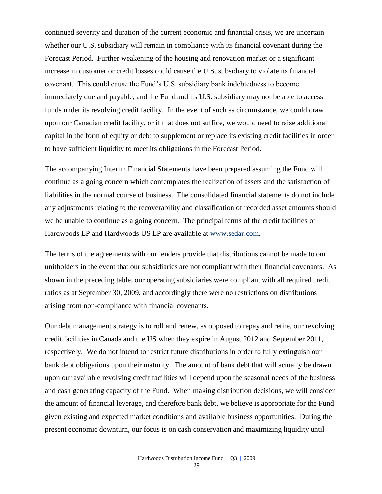continued severity and duration of the current economic and financial crisis, we are uncertain whether our U.S. subsidiary will remain in compliance with its financial covenant during the Forecast Period. Further weakening of the housing and renovation market or a significant increase in customer or credit losses could cause the U.S. subsidiary to violate its financial covenant. This could cause the Fund's U.S. subsidiary bank indebtedness to become immediately due and payable, and the Fund and its U.S. subsidiary may not be able to access funds under its revolving credit facility. In the event of such as circumstance, we could draw upon our Canadian credit facility, or if that does not suffice, we would need to raise additional capital in the form of equity or debt to supplement or replace its existing credit facilities in order to have sufficient liquidity to meet its obligations in the Forecast Period.

The accompanying Interim Financial Statements have been prepared assuming the Fund will continue as a going concern which contemplates the realization of assets and the satisfaction of liabilities in the normal course of business. The consolidated financial statements do not include any adjustments relating to the recoverability and classification of recorded asset amounts should we be unable to continue as a going concern. The principal terms of the credit facilities of Hardwoods LP and Hardwoods US LP are available at [www.sedar.com.](http://www.sedar.com/)

The terms of the agreements with our lenders provide that distributions cannot be made to our unitholders in the event that our subsidiaries are not compliant with their financial covenants. As shown in the preceding table, our operating subsidiaries were compliant with all required credit ratios as at September 30, 2009, and accordingly there were no restrictions on distributions arising from non-compliance with financial covenants.

Our debt management strategy is to roll and renew, as opposed to repay and retire, our revolving credit facilities in Canada and the US when they expire in August 2012 and September 2011, respectively. We do not intend to restrict future distributions in order to fully extinguish our bank debt obligations upon their maturity. The amount of bank debt that will actually be drawn upon our available revolving credit facilities will depend upon the seasonal needs of the business and cash generating capacity of the Fund. When making distribution decisions, we will consider the amount of financial leverage, and therefore bank debt, we believe is appropriate for the Fund given existing and expected market conditions and available business opportunities. During the present economic downturn, our focus is on cash conservation and maximizing liquidity until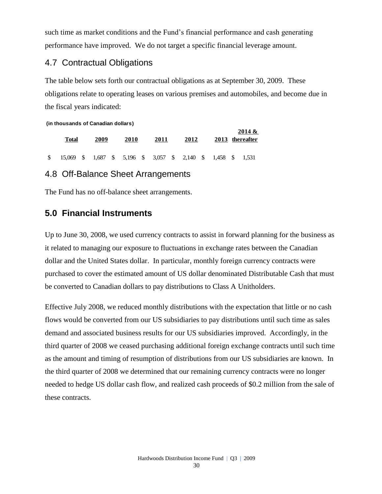such time as market conditions and the Fund's financial performance and cash generating performance have improved. We do not target a specific financial leverage amount.

### 4.7 Contractual Obligations

The table below sets forth our contractual obligations as at September 30, 2009. These obligations relate to operating leases on various premises and automobiles, and become due in the fiscal years indicated:

**2014 &** 

**(in thousands of Canadian dollars)**

|                | Total                                                        | 2009 | 2010 | 2011 | 2012 |  | 2014 &<br>2013 thereafter |
|----------------|--------------------------------------------------------------|------|------|------|------|--|---------------------------|
| $\mathbb{S}^-$ | 15,069 \$ 1,687 \$ 5,196 \$ 3,057 \$ 2,140 \$ 1,458 \$ 1,531 |      |      |      |      |  |                           |

### 4.8 Off-Balance Sheet Arrangements

The Fund has no off-balance sheet arrangements.

### **5.0 Financial Instruments**

Up to June 30, 2008, we used currency contracts to assist in forward planning for the business as it related to managing our exposure to fluctuations in exchange rates between the Canadian dollar and the United States dollar. In particular, monthly foreign currency contracts were purchased to cover the estimated amount of US dollar denominated Distributable Cash that must be converted to Canadian dollars to pay distributions to Class A Unitholders.

Effective July 2008, we reduced monthly distributions with the expectation that little or no cash flows would be converted from our US subsidiaries to pay distributions until such time as sales demand and associated business results for our US subsidiaries improved. Accordingly, in the third quarter of 2008 we ceased purchasing additional foreign exchange contracts until such time as the amount and timing of resumption of distributions from our US subsidiaries are known. In the third quarter of 2008 we determined that our remaining currency contracts were no longer needed to hedge US dollar cash flow, and realized cash proceeds of \$0.2 million from the sale of these contracts.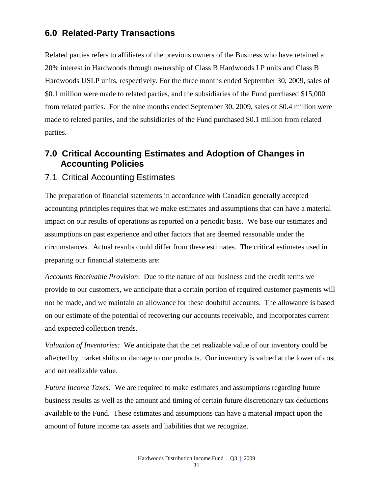## **6.0 Related-Party Transactions**

Related parties refers to affiliates of the previous owners of the Business who have retained a 20% interest in Hardwoods through ownership of Class B Hardwoods LP units and Class B Hardwoods USLP units, respectively. For the three months ended September 30, 2009, sales of \$0.1 million were made to related parties, and the subsidiaries of the Fund purchased \$15,000 from related parties. For the nine months ended September 30, 2009, sales of \$0.4 million were made to related parties, and the subsidiaries of the Fund purchased \$0.1 million from related parties.

### **7.0 Critical Accounting Estimates and Adoption of Changes in Accounting Policies**

### 7.1 Critical Accounting Estimates

The preparation of financial statements in accordance with Canadian generally accepted accounting principles requires that we make estimates and assumptions that can have a material impact on our results of operations as reported on a periodic basis. We base our estimates and assumptions on past experience and other factors that are deemed reasonable under the circumstances. Actual results could differ from these estimates. The critical estimates used in preparing our financial statements are:

*Accounts Receivable Provision*: Due to the nature of our business and the credit terms we provide to our customers, we anticipate that a certain portion of required customer payments will not be made, and we maintain an allowance for these doubtful accounts. The allowance is based on our estimate of the potential of recovering our accounts receivable, and incorporates current and expected collection trends.

*Valuation of Inventories:* We anticipate that the net realizable value of our inventory could be affected by market shifts or damage to our products. Our inventory is valued at the lower of cost and net realizable value.

*Future Income Taxes:* We are required to make estimates and assumptions regarding future business results as well as the amount and timing of certain future discretionary tax deductions available to the Fund. These estimates and assumptions can have a material impact upon the amount of future income tax assets and liabilities that we recognize.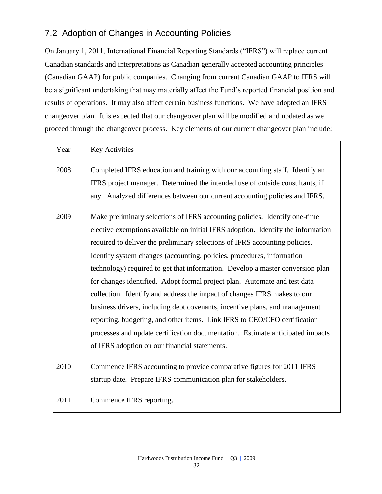## 7.2 Adoption of Changes in Accounting Policies

On January 1, 2011, International Financial Reporting Standards ("IFRS") will replace current Canadian standards and interpretations as Canadian generally accepted accounting principles (Canadian GAAP) for public companies. Changing from current Canadian GAAP to IFRS will be a significant undertaking that may materially affect the Fund's reported financial position and results of operations. It may also affect certain business functions. We have adopted an IFRS changeover plan. It is expected that our changeover plan will be modified and updated as we proceed through the changeover process. Key elements of our current changeover plan include:

| Year | <b>Key Activities</b>                                                                                                                                                                                                                                                                                                                                                                                                                                                                                                                                                                                                                                                                                                                                                                                                                                             |
|------|-------------------------------------------------------------------------------------------------------------------------------------------------------------------------------------------------------------------------------------------------------------------------------------------------------------------------------------------------------------------------------------------------------------------------------------------------------------------------------------------------------------------------------------------------------------------------------------------------------------------------------------------------------------------------------------------------------------------------------------------------------------------------------------------------------------------------------------------------------------------|
| 2008 | Completed IFRS education and training with our accounting staff. Identify an<br>IFRS project manager. Determined the intended use of outside consultants, if<br>any. Analyzed differences between our current accounting policies and IFRS.                                                                                                                                                                                                                                                                                                                                                                                                                                                                                                                                                                                                                       |
| 2009 | Make preliminary selections of IFRS accounting policies. Identify one-time<br>elective exemptions available on initial IFRS adoption. Identify the information<br>required to deliver the preliminary selections of IFRS accounting policies.<br>Identify system changes (accounting, policies, procedures, information<br>technology) required to get that information. Develop a master conversion plan<br>for changes identified. Adopt formal project plan. Automate and test data<br>collection. Identify and address the impact of changes IFRS makes to our<br>business drivers, including debt covenants, incentive plans, and management<br>reporting, budgeting, and other items. Link IFRS to CEO/CFO certification<br>processes and update certification documentation. Estimate anticipated impacts<br>of IFRS adoption on our financial statements. |
| 2010 | Commence IFRS accounting to provide comparative figures for 2011 IFRS<br>startup date. Prepare IFRS communication plan for stakeholders.                                                                                                                                                                                                                                                                                                                                                                                                                                                                                                                                                                                                                                                                                                                          |
| 2011 | Commence IFRS reporting.                                                                                                                                                                                                                                                                                                                                                                                                                                                                                                                                                                                                                                                                                                                                                                                                                                          |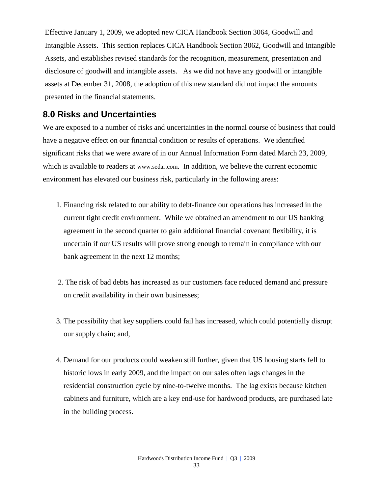Effective January 1, 2009, we adopted new CICA Handbook Section 3064, Goodwill and Intangible Assets. This section replaces CICA Handbook Section 3062, Goodwill and Intangible Assets, and establishes revised standards for the recognition, measurement, presentation and disclosure of goodwill and intangible assets. As we did not have any goodwill or intangible assets at December 31, 2008, the adoption of this new standard did not impact the amounts presented in the financial statements.

### **8.0 Risks and Uncertainties**

We are exposed to a number of risks and uncertainties in the normal course of business that could have a negative effect on our financial condition or results of operations. We identified significant risks that we were aware of in our Annual Information Form dated March 23, 2009, which is available to readers at [www.sedar.com](http://www.sedar.com/). In addition, we believe the current economic environment has elevated our business risk, particularly in the following areas:

- 1. Financing risk related to our ability to debt-finance our operations has increased in the current tight credit environment. While we obtained an amendment to our US banking agreement in the second quarter to gain additional financial covenant flexibility, it is uncertain if our US results will prove strong enough to remain in compliance with our bank agreement in the next 12 months;
- 2. The risk of bad debts has increased as our customers face reduced demand and pressure on credit availability in their own businesses;
- 3. The possibility that key suppliers could fail has increased, which could potentially disrupt our supply chain; and,
- 4. Demand for our products could weaken still further, given that US housing starts fell to historic lows in early 2009, and the impact on our sales often lags changes in the residential construction cycle by nine-to-twelve months. The lag exists because kitchen cabinets and furniture, which are a key end-use for hardwood products, are purchased late in the building process.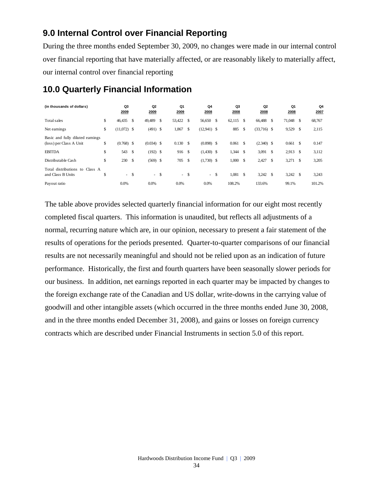### **9.0 Internal Control over Financial Reporting**

During the three months ended September 30, 2009, no changes were made in our internal control over financial reporting that have materially affected, or are reasonably likely to materially affect, our internal control over financial reporting

| (in thousands of dollars)                                                    |          | Q3<br>2009          |               | Q <sub>2</sub><br>2009     | Q1<br>2009   |                     | Q4<br>2008                   |               | Q3<br>2008     |               | Q <sub>2</sub><br>2008 |    | Q1<br>2008          |    | Q4<br>2007     |
|------------------------------------------------------------------------------|----------|---------------------|---------------|----------------------------|--------------|---------------------|------------------------------|---------------|----------------|---------------|------------------------|----|---------------------|----|----------------|
| Total sales                                                                  | \$       | 46,435              | <sup>\$</sup> | 49,489                     | \$<br>53,422 | <sup>\$</sup>       | 56,650 \$                    |               | 62,115         | <sup>\$</sup> | 66,488                 | -S | 71,048              | -S | 68,767         |
| Net earnings                                                                 | \$       | $(11,072)$ \$       |               | $(491)$ \$                 | 1,867        | \$                  | $(12,941)$ \$                |               | 885            | \$            | $(33,716)$ \$          |    | 9,529               | -S | 2,115          |
| Basic and fully diluted earnings<br>(loss) per Class A Unit<br><b>EBITDA</b> | \$<br>\$ | $(0.768)$ \$<br>543 | <sup>\$</sup> | $(0.034)$ \$<br>$(192)$ \$ | 0.130<br>916 | \$<br><sup>\$</sup> | $(0.898)$ \$<br>$(1,430)$ \$ |               | 0.061<br>1,344 | \$<br>-S      | $(2.340)$ \$<br>3,091  | -S | 0.661<br>$2,913$ \$ | S  | 0.147<br>3,112 |
| Distributable Cash                                                           | \$       | 230                 | <sup>\$</sup> | $(569)$ \$                 | 705          | \$                  | $(1,730)$ \$                 |               | 1,000          | - \$          | 2,427                  | -S | 3,271               | -S | 3,205          |
| Total distributions to Class A<br>and Class B Units                          | \$       | - \$                |               | $- S$                      | $-$ \$       |                     | $\sim$                       | <sup>\$</sup> | 1,081          | \$            | $3,242$ \$             |    | $3,242$ \$          |    | 3,243          |
| Payout ratio                                                                 |          | 0.0%                |               | 0.0%                       | 0.0%         |                     | 0.0%                         |               | 108.2%         |               | 133.6%                 |    | 99.1%               |    | 101.2%         |

## **10.0 Quarterly Financial Information**

The table above provides selected quarterly financial information for our eight most recently completed fiscal quarters. This information is unaudited, but reflects all adjustments of a normal, recurring nature which are, in our opinion, necessary to present a fair statement of the results of operations for the periods presented. Quarter-to-quarter comparisons of our financial results are not necessarily meaningful and should not be relied upon as an indication of future performance. Historically, the first and fourth quarters have been seasonally slower periods for our business. In addition, net earnings reported in each quarter may be impacted by changes to the foreign exchange rate of the Canadian and US dollar, write-downs in the carrying value of goodwill and other intangible assets (which occurred in the three months ended June 30, 2008, and in the three months ended December 31, 2008), and gains or losses on foreign currency contracts which are described under Financial Instruments in section 5.0 of this report.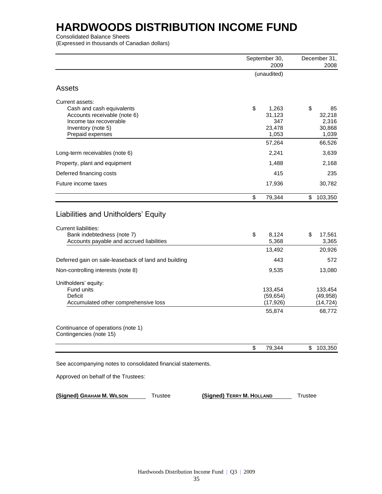Consolidated Balance Sheets

(Expressed in thousands of Canadian dollars)

|                                                                                                                              |                           | September 30,<br>2009                       |                | December 31,<br>2008                        |
|------------------------------------------------------------------------------------------------------------------------------|---------------------------|---------------------------------------------|----------------|---------------------------------------------|
|                                                                                                                              |                           | (unaudited)                                 |                |                                             |
| Assets                                                                                                                       |                           |                                             |                |                                             |
| Current assets:<br>Cash and cash equivalents<br>Accounts receivable (note 6)<br>Income tax recoverable<br>Inventory (note 5) | \$                        | 1,263<br>31,123<br>347<br>23,478            | \$             | 85<br>32,218<br>2,316<br>30,868             |
| Prepaid expenses                                                                                                             |                           | 1,053<br>57,264                             |                | 1,039<br>66,526                             |
| Long-term receivables (note 6)                                                                                               |                           | 2,241                                       |                | 3,639                                       |
| Property, plant and equipment                                                                                                |                           | 1,488                                       |                | 2,168                                       |
| Deferred financing costs                                                                                                     |                           | 415                                         |                | 235                                         |
| Future income taxes                                                                                                          |                           | 17,936                                      |                | 30,782                                      |
|                                                                                                                              | \$                        | 79,344                                      | \$             | 103,350                                     |
| Accounts payable and accrued liabilities<br>Deferred gain on sale-leaseback of land and building                             |                           | 5,368<br>13,492<br>443                      |                | 3,365<br>20,926<br>572                      |
| Non-controlling interests (note 8)                                                                                           |                           | 9,535                                       |                | 13,080                                      |
| Unitholders' equity:<br>Fund units<br>Deficit<br>Accumulated other comprehensive loss                                        |                           | 133,454<br>(59, 654)<br>(17, 926)<br>55,874 |                | 133,454<br>(49, 958)<br>(14, 724)<br>68,772 |
| Continuance of operations (note 1)<br>Contingencies (note 15)                                                                |                           |                                             |                |                                             |
|                                                                                                                              | \$                        | 79,344                                      | \$             | 103,350                                     |
| See accompanying notes to consolidated financial statements.                                                                 |                           |                                             |                |                                             |
| Approved on behalf of the Trustees:                                                                                          |                           |                                             |                |                                             |
| (Signed) GRAHAM M. WILSON<br><b>Trustee</b>                                                                                  | (Signed) TERRY M. HOLLAND |                                             | <b>Trustee</b> |                                             |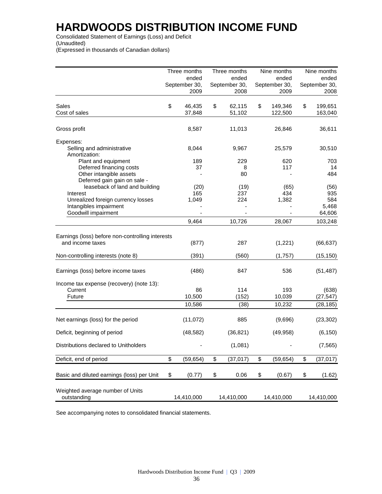Consolidated Statement of Earnings (Loss) and Deficit (Unaudited) (Expressed in thousands of Canadian dollars)

|                                                                                           |    | Three months<br>ended<br>September 30,<br>2009 | Three months<br>ended<br>September 30,<br>2008 | Nine months<br>ended<br>September 30,<br>2009 | Nine months<br>ended<br>September 30,<br>2008 |
|-------------------------------------------------------------------------------------------|----|------------------------------------------------|------------------------------------------------|-----------------------------------------------|-----------------------------------------------|
| Sales<br>Cost of sales                                                                    | \$ | 46,435<br>37,848                               | \$<br>62,115<br>51,102                         | \$<br>149,346<br>122,500                      | \$<br>199,651<br>163,040                      |
| Gross profit                                                                              |    | 8,587                                          | 11,013                                         | 26,846                                        | 36,611                                        |
| Expenses:<br>Selling and administrative<br>Amortization:                                  |    | 8,044                                          | 9,967                                          | 25,579                                        | 30,510                                        |
| Plant and equipment<br>Deferred financing costs                                           |    | 189<br>37                                      | 229<br>8                                       | 620<br>117                                    | 703<br>14                                     |
| Other intangible assets<br>Deferred gain gain on sale -<br>leaseback of land and building |    | (20)                                           | 80<br>(19)                                     | (65)                                          | 484<br>(56)                                   |
| Interest<br>Unrealized foreign currency losses<br>Intangibles impairment                  |    | 165<br>1,049                                   | 237<br>224                                     | 434<br>1,382                                  | 935<br>584<br>5,468                           |
| Goodwill impairment                                                                       |    | 9,464                                          | 10,726                                         | 28,067                                        | 64,606<br>103,248                             |
| Earnings (loss) before non-controlling interests<br>and income taxes                      |    | (877)                                          | 287                                            | (1,221)                                       | (66, 637)                                     |
| Non-controlling interests (note 8)                                                        |    | (391)                                          | (560)                                          | (1,757)                                       | (15, 150)                                     |
| Earnings (loss) before income taxes                                                       |    | (486)                                          | 847                                            | 536                                           | (51, 487)                                     |
| Income tax expense (recovery) (note 13):<br>Current<br>Future                             |    | 86<br>10,500                                   | 114<br>(152)                                   | 193<br>10,039                                 | (638)<br>(27, 547)                            |
|                                                                                           |    | 10,586                                         | (38)                                           | 10,232                                        | (28, 185)                                     |
| Net earnings (loss) for the period                                                        |    | (11, 072)                                      | 885                                            | (9,696)                                       | (23, 302)                                     |
| Deficit, beginning of period                                                              |    | (48, 582)                                      | (36, 821)                                      | (49, 958)                                     | (6, 150)                                      |
| Distributions declared to Unitholders                                                     |    |                                                | (1,081)                                        |                                               | (7, 565)                                      |
| Deficit, end of period                                                                    | \$ | (59, 654)                                      | \$<br>(37, 017)                                | \$<br>(59, 654)                               | \$<br>(37, 017)                               |
| Basic and diluted earnings (loss) per Unit                                                | \$ | (0.77)                                         | \$<br>0.06                                     | \$<br>(0.67)                                  | \$<br>(1.62)                                  |
| Weighted average number of Units<br>outstanding                                           |    | 14,410,000                                     | 14,410,000                                     | 14,410,000                                    | 14,410,000                                    |

See accompanying notes to consolidated financial statements.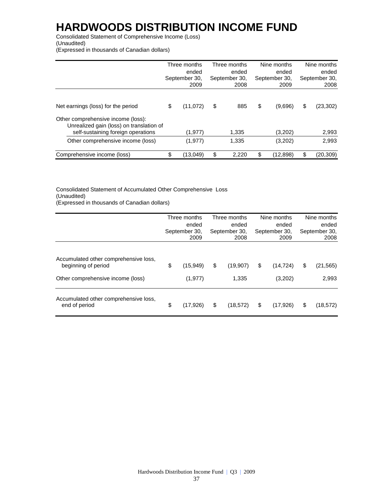Consolidated Statement of Comprehensive Income (Loss) (Unaudited)

(Expressed in thousands of Canadian dollars)

|                                                                                                                      | Three months<br>ended<br>September 30,<br>2009 | Three months<br>ended<br>September 30,<br>2008 | Nine months<br>ended<br>September 30,<br>2009 | Nine months<br>ended<br>September 30,<br>2008 |
|----------------------------------------------------------------------------------------------------------------------|------------------------------------------------|------------------------------------------------|-----------------------------------------------|-----------------------------------------------|
| Net earnings (loss) for the period                                                                                   | \$<br>(11,072)                                 | \$<br>885                                      | \$<br>(9,696)                                 | \$<br>(23, 302)                               |
| Other comprehensive income (loss):<br>Unrealized gain (loss) on translation of<br>self-sustaining foreign operations | (1, 977)                                       | 1,335                                          | (3,202)                                       | 2,993                                         |
| Other comprehensive income (loss)                                                                                    | (1, 977)                                       | 1,335                                          | (3,202)                                       | 2,993                                         |
| Comprehensive income (loss)                                                                                          | \$<br>(13,049)                                 | \$<br>2.220                                    | \$<br>(12,898)                                | \$<br>(20, 309)                               |

Consolidated Statement of Accumulated Other Comprehensive Loss (Unaudited) (Expressed in thousands of Canadian dollars)

|                                                                                                   | Three months<br>ended<br>September 30,<br>2009 | Three months<br>ended<br>September 30,<br>2008 | Nine months<br>ended<br>September 30,<br>2009 | Nine months<br>ended<br>September 30,<br>2008 |
|---------------------------------------------------------------------------------------------------|------------------------------------------------|------------------------------------------------|-----------------------------------------------|-----------------------------------------------|
| Accumulated other comprehensive loss,<br>beginning of period<br>Other comprehensive income (loss) | \$<br>(15, 949)<br>(1, 977)                    | \$<br>(19,907)<br>1,335                        | \$<br>(14, 724)<br>(3,202)                    | \$<br>(21, 565)<br>2,993                      |
| Accumulated other comprehensive loss,<br>end of period                                            | \$<br>(17, 926)                                | \$<br>(18, 572)                                | \$<br>(17,926)                                | \$<br>(18, 572)                               |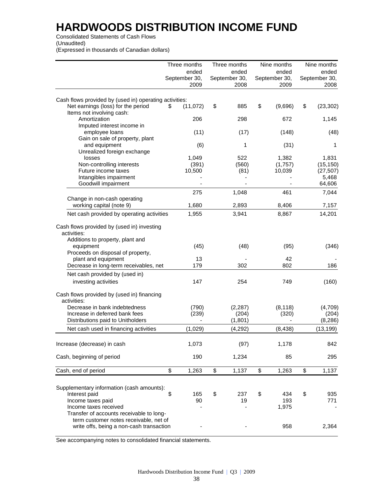Consolidated Statements of Cash Flows (Unaudited) (Expressed in thousands of Canadian dollars)

|                                                                                              | Three months                   | Three months                   | Nine months                    | Nine months                    |
|----------------------------------------------------------------------------------------------|--------------------------------|--------------------------------|--------------------------------|--------------------------------|
|                                                                                              | ended<br>September 30,<br>2009 | ended<br>September 30,<br>2008 | ended<br>September 30,<br>2009 | ended<br>September 30,<br>2008 |
|                                                                                              |                                |                                |                                |                                |
| Cash flows provided by (used in) operating activities:<br>Net earnings (loss) for the period | (11,072)<br>\$                 | \$<br>885                      | \$<br>(9,696)                  | \$<br>(23, 302)                |
| Items not involving cash:<br>Amortization                                                    | 206                            | 298                            | 672                            | 1,145                          |
| Imputed interest income in<br>employee loans                                                 | (11)                           | (17)                           | (148)                          | (48)                           |
| Gain on sale of property, plant<br>and equipment                                             | (6)                            | 1                              | (31)                           | 1                              |
| Unrealized foreign exchange<br>losses                                                        | 1,049                          | 522                            | 1,382                          | 1,831                          |
| Non-controlling interests                                                                    | (391)                          | (560)                          | (1,757)                        | (15, 150)                      |
| Future income taxes                                                                          | 10,500                         | (81)                           | 10,039                         | (27, 507)                      |
| Intangibles impairment                                                                       |                                |                                |                                | 5,468                          |
| Goodwill impairment                                                                          |                                |                                |                                | 64,606                         |
|                                                                                              | 275                            | 1,048                          | 461                            | 7,044                          |
| Change in non-cash operating<br>working capital (note 9)                                     | 1,680                          | 2,893                          | 8,406                          | 7,157                          |
| Net cash provided by operating activities                                                    | 1,955                          | 3,941                          | 8,867                          | 14,201                         |
| Cash flows provided by (used in) investing<br>activities:                                    |                                |                                |                                |                                |
| Additions to property, plant and<br>equipment                                                | (45)                           | (48)                           | (95)                           | (346)                          |
| Proceeds on disposal of property,                                                            |                                |                                | 42                             |                                |
| plant and equipment<br>Decrease in long-term receivables, net                                | 13<br>179                      | 302                            | 802                            | 186                            |
|                                                                                              |                                |                                |                                |                                |
| Net cash provided by (used in)<br>investing activities                                       | 147                            | 254                            | 749                            | (160)                          |
| Cash flows provided by (used in) financing<br>activities:                                    |                                |                                |                                |                                |
| Decrease in bank indebtedness<br>Increase in deferred bank fees                              | (790)<br>(239)                 | (2, 287)<br>(204)              | (8, 118)<br>(320)              | (4,709)<br>(204)               |
| Distributions paid to Unitholders                                                            |                                | (1,801)                        |                                | (8, 286)                       |
| Net cash used in financing activities                                                        | (1,029)                        | (4, 292)                       | (8, 438)                       | (13, 199)                      |
| Increase (decrease) in cash                                                                  | 1,073                          | (97)                           | 1,178                          | 842                            |
| Cash, beginning of period                                                                    | 190                            | 1,234                          | 85                             | 295                            |
| Cash, end of period                                                                          | \$<br>1,263                    | \$<br>1,137                    | \$<br>1,263                    | \$<br>1,137                    |
| Supplementary information (cash amounts):<br>Interest paid                                   | \$<br>165                      | \$<br>237                      | \$<br>434                      | \$<br>935                      |
| Income taxes paid<br>Income taxes received<br>Transfer of accounts receivable to long-       | 90                             | 19                             | 193<br>1,975                   | 771                            |
| term customer notes receivable, net of<br>write offs, being a non-cash transaction           |                                |                                | 958                            | 2,364                          |

See accompanying notes to consolidated financial statements.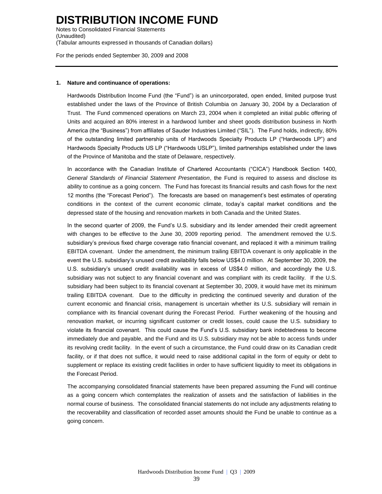Notes to Consolidated Financial Statements (Unaudited) (Tabular amounts expressed in thousands of Canadian dollars)

For the periods ended September 30, 2009 and 2008

#### **1. Nature and continuance of operations:**

Hardwoods Distribution Income Fund (the "Fund") is an unincorporated, open ended, limited purpose trust established under the laws of the Province of British Columbia on January 30, 2004 by a Declaration of Trust. The Fund commenced operations on March 23, 2004 when it completed an initial public offering of Units and acquired an 80% interest in a hardwood lumber and sheet goods distribution business in North America (the "Business") from affiliates of Sauder Industries Limited ("SIL"). The Fund holds, indirectly, 80% of the outstanding limited partnership units of Hardwoods Specialty Products LP ("Hardwoods LP") and Hardwoods Specialty Products US LP ("Hardwoods USLP"), limited partnerships established under the laws of the Province of Manitoba and the state of Delaware, respectively.

In accordance with the Canadian Institute of Chartered Accountants ("CICA") Handbook Section 1400, *General Standards of Financial Statement Presentation*, the Fund is required to assess and disclose its ability to continue as a going concern. The Fund has forecast its financial results and cash flows for the next 12 months (the "Forecast Period"). The forecasts are based on management's best estimates of operating conditions in the context of the current economic climate, today's capital market conditions and the depressed state of the housing and renovation markets in both Canada and the United States.

In the second quarter of 2009, the Fund's U.S. subsidiary and its lender amended their credit agreement with changes to be effective to the June 30, 2009 reporting period. The amendment removed the U.S. subsidiary's previous fixed charge coverage ratio financial covenant, and replaced it with a minimum trailing EBITDA covenant. Under the amendment, the minimum trailing EBITDA covenant is only applicable in the event the U.S. subsidiary's unused credit availability falls below US\$4.0 million. At September 30, 2009, the U.S. subsidiary's unused credit availability was in excess of US\$4.0 million, and accordingly the U.S. subsidiary was not subject to any financial covenant and was compliant with its credit facility. If the U.S. subsidiary had been subject to its financial covenant at September 30, 2009, it would have met its minimum trailing EBITDA covenant. Due to the difficulty in predicting the continued severity and duration of the current economic and financial crisis, management is uncertain whether its U.S. subsidiary will remain in compliance with its financial covenant during the Forecast Period. Further weakening of the housing and renovation market, or incurring significant customer or credit losses, could cause the U.S. subsidiary to violate its financial covenant. This could cause the Fund's U.S. subsidiary bank indebtedness to become immediately due and payable, and the Fund and its U.S. subsidiary may not be able to access funds under its revolving credit facility. In the event of such a circumstance, the Fund could draw on its Canadian credit facility, or if that does not suffice, it would need to raise additional capital in the form of equity or debt to supplement or replace its existing credit facilities in order to have sufficient liquidity to meet its obligations in the Forecast Period.

The accompanying consolidated financial statements have been prepared assuming the Fund will continue as a going concern which contemplates the realization of assets and the satisfaction of liabilities in the normal course of business. The consolidated financial statements do not include any adjustments relating to the recoverability and classification of recorded asset amounts should the Fund be unable to continue as a going concern.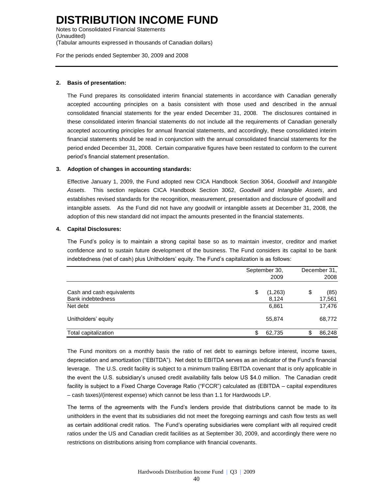Notes to Consolidated Financial Statements (Unaudited) (Tabular amounts expressed in thousands of Canadian dollars)

For the periods ended September 30, 2009 and 2008

#### **2. Basis of presentation:**

The Fund prepares its consolidated interim financial statements in accordance with Canadian generally accepted accounting principles on a basis consistent with those used and described in the annual consolidated financial statements for the year ended December 31, 2008. The disclosures contained in these consolidated interim financial statements do not include all the requirements of Canadian generally accepted accounting principles for annual financial statements, and accordingly, these consolidated interim financial statements should be read in conjunction with the annual consolidated financial statements for the period ended December 31, 2008. Certain comparative figures have been restated to conform to the current period's financial statement presentation.

#### **3. Adoption of changes in accounting standards:**

Effective January 1, 2009, the Fund adopted new CICA Handbook Section 3064, *Goodwill and Intangible Assets*. This section replaces CICA Handbook Section 3062, *Goodwill and Intangible Assets*, and establishes revised standards for the recognition, measurement, presentation and disclosure of goodwill and intangible assets. As the Fund did not have any goodwill or intangible assets at December 31, 2008, the adoption of this new standard did not impact the amounts presented in the financial statements.

#### **4. Capital Disclosures:**

The Fund's policy is to maintain a strong capital base so as to maintain investor, creditor and market confidence and to sustain future development of the business. The Fund considers its capital to be bank indebtedness (net of cash) plus Unitholders' equity. The Fund's capitalization is as follows:

|                                                       | September 30,<br>2009  | December 31,<br>2008 |
|-------------------------------------------------------|------------------------|----------------------|
| Cash and cash equivalents<br><b>Bank indebtedness</b> | \$<br>(1,263)<br>8,124 | \$<br>(85)<br>17,561 |
| Net debt                                              | 6,861                  | 17,476               |
| Unitholders' equity                                   | 55,874                 | 68,772               |
| Total capitalization                                  | \$<br>62,735           | 86,248               |

The Fund monitors on a monthly basis the ratio of net debt to earnings before interest, income taxes, depreciation and amortization ("EBITDA"). Net debt to EBITDA serves as an indicator of the Fund's financial leverage. The U.S. credit facility is subject to a minimum trailing EBITDA covenant that is only applicable in the event the U.S. subsidiary's unused credit availability falls below US \$4.0 million. The Canadian credit facility is subject to a Fixed Charge Coverage Ratio ("FCCR") calculated as (EBITDA – capital expenditures – cash taxes)/(interest expense) which cannot be less than 1.1 for Hardwoods LP.

The terms of the agreements with the Fund's lenders provide that distributions cannot be made to its unitholders in the event that its subsidiaries did not meet the foregoing earnings and cash flow tests as well as certain additional credit ratios. The Fund's operating subsidiaries were compliant with all required credit ratios under the US and Canadian credit facilities as at September 30, 2009, and accordingly there were no restrictions on distributions arising from compliance with financial covenants.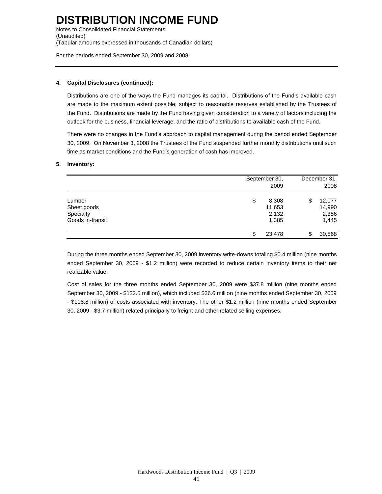Notes to Consolidated Financial Statements (Unaudited) (Tabular amounts expressed in thousands of Canadian dollars)

For the periods ended September 30, 2009 and 2008

#### **4. Capital Disclosures (continued):**

Distributions are one of the ways the Fund manages its capital. Distributions of the Fund's available cash are made to the maximum extent possible, subject to reasonable reserves established by the Trustees of the Fund. Distributions are made by the Fund having given consideration to a variety of factors including the outlook for the business, financial leverage, and the ratio of distributions to available cash of the Fund.

There were no changes in the Fund's approach to capital management during the period ended September 30, 2009. On November 3, 2008 the Trustees of the Fund suspended further monthly distributions until such time as market conditions and the Fund's generation of cash has improved.

#### **5. Inventory:**

|                                                        | September 30,<br>2009                   | December 31,<br>2008                     |
|--------------------------------------------------------|-----------------------------------------|------------------------------------------|
| Lumber<br>Sheet goods<br>Specialty<br>Goods in-transit | \$<br>8,308<br>11,653<br>2,132<br>1,385 | 12,077<br>\$<br>14,990<br>2,356<br>1,445 |
|                                                        | 23,478<br>S                             | 30,868                                   |

During the three months ended September 30, 2009 inventory write-downs totaling \$0.4 million (nine months ended September 30, 2009 - \$1.2 million) were recorded to reduce certain inventory items to their net realizable value.

Cost of sales for the three months ended September 30, 2009 were \$37.8 million (nine months ended September 30, 2009 - \$122.5 million), which included \$36.6 million (nine months ended September 30, 2009 - \$118.8 million) of costs associated with inventory. The other \$1.2 million (nine months ended September 30, 2009 - \$3.7 million) related principally to freight and other related selling expenses.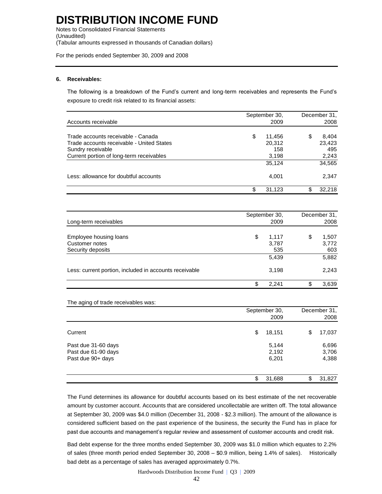Notes to Consolidated Financial Statements (Unaudited) (Tabular amounts expressed in thousands of Canadian dollars)

For the periods ended September 30, 2009 and 2008

#### **6. Receivables:**

The following is a breakdown of the Fund's current and long-term receivables and represents the Fund's exposure to credit risk related to its financial assets:

|                                           |    | September 30, | December 31, |
|-------------------------------------------|----|---------------|--------------|
| Accounts receivable                       |    | 2009          | 2008         |
| Trade accounts receivable - Canada        | \$ | 11.456        | 8.404        |
| Trade accounts receivable - United States |    | 20,312        | 23,423       |
| Sundry receivable                         |    | 158           | 495          |
| Current portion of long-term receivables  |    | 3,198         | 2,243        |
|                                           |    | 35.124        | 34,565       |
| Less: allowance for doubtful accounts     |    | 4.001         | 2,347        |
|                                           | S  | 31,123        | 32.218       |

|                                                        | September 30, | December 31. |       |  |
|--------------------------------------------------------|---------------|--------------|-------|--|
| Long-term receivables                                  | 2009          |              | 2008  |  |
| Employee housing loans                                 | \$<br>1,117   | S            | 1,507 |  |
| Customer notes                                         | 3,787         |              | 3,772 |  |
| Security deposits                                      | 535           |              | 603   |  |
|                                                        | 5,439         |              | 5,882 |  |
| Less: current portion, included in accounts receivable | 3,198         |              | 2,243 |  |
|                                                        | \$<br>2.241   | ጦ            | 3,639 |  |

#### The aging of trade receivables was:

|                                                                 | September 30,<br>2009   | December 31,<br>2008    |  |  |
|-----------------------------------------------------------------|-------------------------|-------------------------|--|--|
| Current                                                         | \$<br>18,151            | 17,037<br>\$            |  |  |
| Past due 31-60 days<br>Past due 61-90 days<br>Past due 90+ days | 5,144<br>2,192<br>6,201 | 6,696<br>3,706<br>4,388 |  |  |
|                                                                 | \$<br>31,688            | 31,827<br>\$            |  |  |

The Fund determines its allowance for doubtful accounts based on its best estimate of the net recoverable amount by customer account. Accounts that are considered uncollectable are written off. The total allowance at September 30, 2009 was \$4.0 million (December 31, 2008 - \$2.3 million). The amount of the allowance is considered sufficient based on the past experience of the business, the security the Fund has in place for past due accounts and management's regular review and assessment of customer accounts and credit risk.

Bad debt expense for the three months ended September 30, 2009 was \$1.0 million which equates to 2.2% of sales (three month period ended September 30, 2008 – \$0.9 million, being 1.4% of sales). Historically bad debt as a percentage of sales has averaged approximately 0.7%.

Hardwoods Distribution Income Fund | Q3 | 2009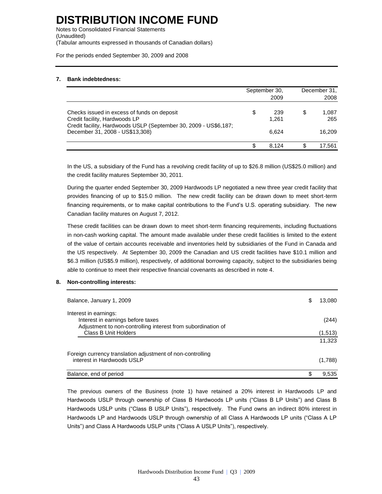Notes to Consolidated Financial Statements (Unaudited) (Tabular amounts expressed in thousands of Canadian dollars)

For the periods ended September 30, 2009 and 2008

#### **7. Bank indebtedness:**

|                                                                                                                                                                                     |   | September 30,<br>2009 | December 31,<br>2008 |                        |
|-------------------------------------------------------------------------------------------------------------------------------------------------------------------------------------|---|-----------------------|----------------------|------------------------|
| Checks issued in excess of funds on deposit<br>Credit facility, Hardwoods LP<br>Credit facility, Hardwoods USLP (September 30, 2009 - US\$6,187;<br>December 31, 2008 - US\$13,308) | S | 239<br>1.261<br>6.624 | \$                   | 1,087<br>265<br>16.209 |
|                                                                                                                                                                                     |   | 8.124                 |                      | 17.561                 |

In the US, a subsidiary of the Fund has a revolving credit facility of up to \$26.8 million (US\$25.0 million) and the credit facility matures September 30, 2011.

During the quarter ended September 30, 2009 Hardwoods LP negotiated a new three year credit facility that provides financing of up to \$15.0 million. The new credit facility can be drawn down to meet short-term financing requirements, or to make capital contributions to the Fund's U.S. operating subsidiary. The new Canadian facility matures on August 7, 2012.

These credit facilities can be drawn down to meet short-term financing requirements, including fluctuations in non-cash working capital. The amount made available under these credit facilities is limited to the extent of the value of certain accounts receivable and inventories held by subsidiaries of the Fund in Canada and the US respectively. At September 30, 2009 the Canadian and US credit facilities have \$10.1 million and \$6.3 million (US\$5.9 million), respectively, of additional borrowing capacity, subject to the subsidiaries being able to continue to meet their respective financial covenants as described in note 4.

#### **8. Non-controlling interests:**

| Balance, January 1, 2009                                                                                                   | S | 13,080  |
|----------------------------------------------------------------------------------------------------------------------------|---|---------|
| Interest in earnings:<br>Interest in earnings before taxes<br>Adjustment to non-controlling interest from subordination of |   | (244)   |
| Class B Unit Holders                                                                                                       |   | (1,513) |
|                                                                                                                            |   | 11.323  |
| Foreign currency translation adjustment of non-controlling<br>interest in Hardwoods USLP                                   |   | (1,788) |
| Balance, end of period                                                                                                     |   | 9.535   |

The previous owners of the Business (note 1) have retained a 20% interest in Hardwoods LP and Hardwoods USLP through ownership of Class B Hardwoods LP units ("Class B LP Units") and Class B Hardwoods USLP units ("Class B USLP Units"), respectively. The Fund owns an indirect 80% interest in Hardwoods LP and Hardwoods USLP through ownership of all Class A Hardwoods LP units ("Class A LP Units") and Class A Hardwoods USLP units ("Class A USLP Units"), respectively.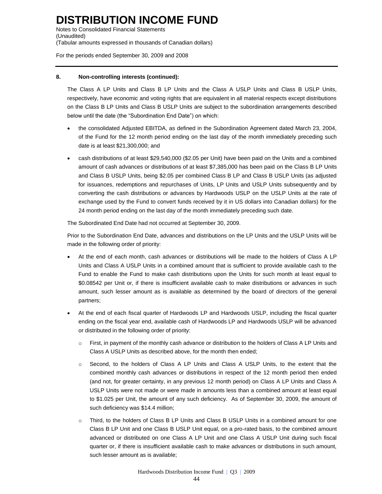Notes to Consolidated Financial Statements (Unaudited) (Tabular amounts expressed in thousands of Canadian dollars)

For the periods ended September 30, 2009 and 2008

#### **8. Non-controlling interests (continued):**

The Class A LP Units and Class B LP Units and the Class A USLP Units and Class B USLP Units, respectively, have economic and voting rights that are equivalent in all material respects except distributions on the Class B LP Units and Class B USLP Units are subject to the subordination arrangements described below until the date (the "Subordination End Date") on which:

- the consolidated Adjusted EBITDA, as defined in the Subordination Agreement dated March 23, 2004, of the Fund for the 12 month period ending on the last day of the month immediately preceding such date is at least \$21,300,000; and
- cash distributions of at least \$29,540,000 (\$2.05 per Unit) have been paid on the Units and a combined amount of cash advances or distributions of at least \$7,385,000 has been paid on the Class B LP Units and Class B USLP Units, being \$2.05 per combined Class B LP and Class B USLP Units (as adjusted for issuances, redemptions and repurchases of Units, LP Units and USLP Units subsequently and by converting the cash distributions or advances by Hardwoods USLP on the USLP Units at the rate of exchange used by the Fund to convert funds received by it in US dollars into Canadian dollars) for the 24 month period ending on the last day of the month immediately preceding such date.

The Subordinated End Date had not occurred at September 30, 2009.

Prior to the Subordination End Date, advances and distributions on the LP Units and the USLP Units will be made in the following order of priority:

- At the end of each month, cash advances or distributions will be made to the holders of Class A LP Units and Class A USLP Units in a combined amount that is sufficient to provide available cash to the Fund to enable the Fund to make cash distributions upon the Units for such month at least equal to \$0.08542 per Unit or, if there is insufficient available cash to make distributions or advances in such amount, such lesser amount as is available as determined by the board of directors of the general partners;
- At the end of each fiscal quarter of Hardwoods LP and Hardwoods USLP, including the fiscal quarter ending on the fiscal year end, available cash of Hardwoods LP and Hardwoods USLP will be advanced or distributed in the following order of priority:
	- o First, in payment of the monthly cash advance or distribution to the holders of Class A LP Units and Class A USLP Units as described above, for the month then ended;
	- o Second, to the holders of Class A LP Units and Class A USLP Units, to the extent that the combined monthly cash advances or distributions in respect of the 12 month period then ended (and not, for greater certainty, in any previous 12 month period) on Class A LP Units and Class A USLP Units were not made or were made in amounts less than a combined amount at least equal to \$1.025 per Unit, the amount of any such deficiency. As of September 30, 2009, the amount of such deficiency was \$14.4 million;
	- o Third, to the holders of Class B LP Units and Class B USLP Units in a combined amount for one Class B LP Unit and one Class B USLP Unit equal, on a pro-rated basis, to the combined amount advanced or distributed on one Class A LP Unit and one Class A USLP Unit during such fiscal quarter or, if there is insufficient available cash to make advances or distributions in such amount, such lesser amount as is available;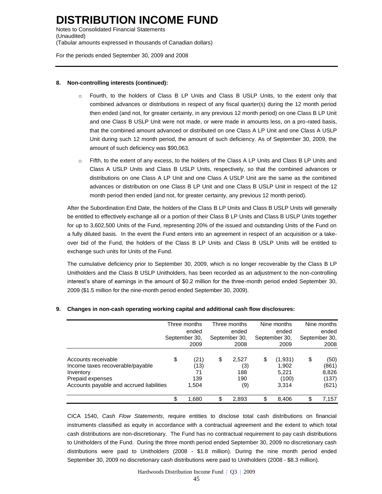Notes to Consolidated Financial Statements (Unaudited) (Tabular amounts expressed in thousands of Canadian dollars)

For the periods ended September 30, 2009 and 2008

#### **8. Non-controlling interests (continued):**

- o Fourth, to the holders of Class B LP Units and Class B USLP Units, to the extent only that combined advances or distributions in respect of any fiscal quarter(s) during the 12 month period then ended (and not, for greater certainty, in any previous 12 month period) on one Class B LP Unit and one Class B USLP Unit were not made, or were made in amounts less, on a pro-rated basis, that the combined amount advanced or distributed on one Class A LP Unit and one Class A USLP Unit during such 12 month period, the amount of such deficiency. As of September 30, 2009, the amount of such deficiency was \$90,063.
- o Fifth, to the extent of any excess, to the holders of the Class A LP Units and Class B LP Units and Class A USLP Units and Class B USLP Units, respectively, so that the combined advances or distributions on one Class A LP Unit and one Class A USLP Unit are the same as the combined advances or distribution on one Class B LP Unit and one Class B USLP Unit in respect of the 12 month period then ended (and not, for greater certainty, any previous 12 month period).

After the Subordination End Date, the holders of the Class B LP Units and Class B USLP Units will generally be entitled to effectively exchange all or a portion of their Class B LP Units and Class B USLP Units together for up to 3,602,500 Units of the Fund, representing 20% of the issued and outstanding Units of the Fund on a fully diluted basis. In the event the Fund enters into an agreement in respect of an acquisition or a takeover bid of the Fund, the holders of the Class B LP Units and Class B USLP Units will be entitled to exchange such units for Units of the Fund.

The cumulative deficiency prior to September 30, 2009, which is no longer recoverable by the Class B LP Unitholders and the Class B USLP Unitholders, has been recorded as an adjustment to the non-controlling interest's share of earnings in the amount of \$0.2 million for the three-month period ended September 30, 2009 (\$1.5 million for the nine-month period ended September 30, 2009).

|                                                                                                                                      | Three months<br>ended<br>September 30,<br>2009 |                                    | Three months<br>ended<br>September 30,<br>2008 |                                   | Nine months<br>ended<br>September 30,<br>2009 |                                             | Nine months<br>ended<br>September 30,<br>2008 |                                          |
|--------------------------------------------------------------------------------------------------------------------------------------|------------------------------------------------|------------------------------------|------------------------------------------------|-----------------------------------|-----------------------------------------------|---------------------------------------------|-----------------------------------------------|------------------------------------------|
| Accounts receivable<br>Income taxes recoverable/payable<br>Inventory<br>Prepaid expenses<br>Accounts payable and accrued liabilities | \$                                             | (21)<br>(13)<br>71<br>139<br>1,504 | \$                                             | 2,527<br>(3)<br>188<br>190<br>(9) | \$                                            | (1,931)<br>1,902<br>5,221<br>(100)<br>3,314 | \$                                            | (50)<br>(861)<br>8,826<br>(137)<br>(621) |
|                                                                                                                                      | \$                                             | 1,680                              | S                                              | 2,893                             | ß.                                            | 8.406                                       |                                               | 7.157                                    |

#### **9. Changes in non-cash operating working capital and additional cash flow disclosures:**

CICA 1540, *Cash Flow Statements*, require entities to disclose total cash distributions on financial instruments classified as equity in accordance with a contractual agreement and the extent to which total cash distributions are non-discretionary. The Fund has no contractual requirement to pay cash distributions to Unitholders of the Fund. During the three month period ended September 30, 2009 no discretionary cash distributions were paid to Unitholders (2008 - \$1.8 million). During the nine month period ended September 30, 2009 no discretionary cash distributions were paid to Unitholders (2008 - \$8.3 million).

Hardwoods Distribution Income Fund | Q3 | 2009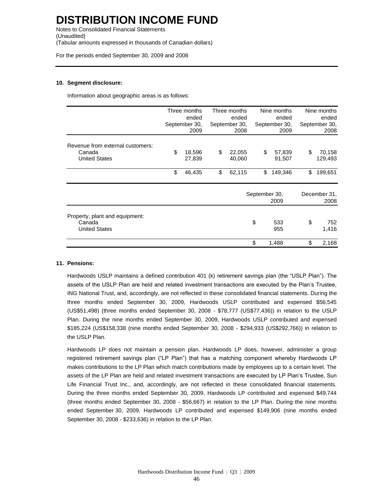Notes to Consolidated Financial Statements (Unaudited) (Tabular amounts expressed in thousands of Canadian dollars)

For the periods ended September 30, 2009 and 2008

#### **10. Segment disclosure:**

Information about geographic areas is as follows:

|                                                                    | Three months<br>ended<br>September 30,<br>2009 |                  | Three months<br>ended<br>September 30,<br>2008 |                  | Nine months<br>ended<br>September 30,<br>2009 |                  | Nine months<br>ended<br>September 30,<br>2008 |                      |
|--------------------------------------------------------------------|------------------------------------------------|------------------|------------------------------------------------|------------------|-----------------------------------------------|------------------|-----------------------------------------------|----------------------|
| Revenue from external customers:<br>Canada<br><b>United States</b> | \$                                             | 18,596<br>27,839 | \$                                             | 22,055<br>40,060 | \$                                            | 57,839<br>91,507 | \$                                            | 70,158<br>129,493    |
|                                                                    | \$                                             | 46,435           | \$                                             | 62,115           | \$                                            | 149,346          | \$                                            | 199,651              |
|                                                                    |                                                |                  |                                                |                  | September 30,<br>2009                         |                  |                                               | December 31,<br>2008 |
| Property, plant and equipment:<br>Canada<br><b>United States</b>   |                                                |                  |                                                |                  | \$                                            | 533<br>955       | \$                                            | 752<br>1,416         |
|                                                                    |                                                |                  |                                                |                  | \$                                            | 1,488            | \$                                            | 2,168                |

#### **11. Pensions:**

Hardwoods USLP maintains a defined contribution 401 (k) retirement savings plan (the "USLP Plan"). The assets of the USLP Plan are held and related investment transactions are executed by the Plan's Trustee, ING National Trust, and, accordingly, are not reflected in these consolidated financial statements. During the three months ended September 30, 2009, Hardwoods USLP contributed and expensed \$56,545 (US\$51,498) (three months ended September 30, 2008 - \$78,777 (US\$77,436)) in relation to the USLP Plan. During the nine months ended September 30, 2009, Hardwoods USLP contributed and expensed \$185,224 (US\$158,338 (nine months ended September 30, 2008 - \$294,933 (US\$292,766)) in relation to the USLP Plan.

Hardwoods LP does not maintain a pension plan. Hardwoods LP does, however, administer a group registered retirement savings plan ("LP Plan") that has a matching component whereby Hardwoods LP makes contributions to the LP Plan which match contributions made by employees up to a certain level. The assets of the LP Plan are held and related investment transactions are executed by LP Plan's Trustee, Sun Life Financial Trust Inc., and, accordingly, are not reflected in these consolidated financial statements. During the three months ended September 30, 2009, Hardwoods LP contributed and expensed \$49,744 (three months ended September 30, 2008 - \$56,667) in relation to the LP Plan. During the nine months ended September 30, 2009, Hardwoods LP contributed and expensed \$149,906 (nine months ended September 30, 2008 - \$233,636) in relation to the LP Plan.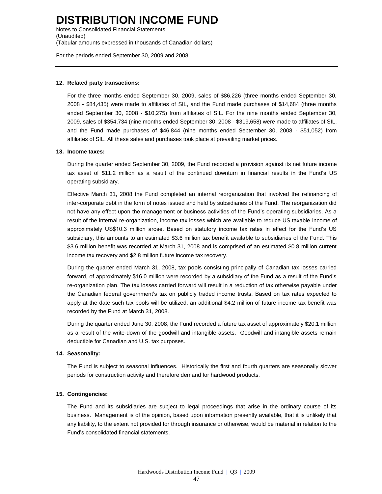Notes to Consolidated Financial Statements (Unaudited) (Tabular amounts expressed in thousands of Canadian dollars)

For the periods ended September 30, 2009 and 2008

#### **12. Related party transactions:**

For the three months ended September 30, 2009, sales of \$86,226 (three months ended September 30, 2008 - \$84,435) were made to affiliates of SIL, and the Fund made purchases of \$14,684 (three months ended September 30, 2008 - \$10,275) from affiliates of SIL. For the nine months ended September 30, 2009, sales of \$354,734 (nine months ended September 30, 2008 - \$319,658) were made to affiliates of SIL, and the Fund made purchases of \$46,844 (nine months ended September 30, 2008 - \$51,052) from affiliates of SIL. All these sales and purchases took place at prevailing market prices.

#### **13. Income taxes:**

During the quarter ended September 30, 2009, the Fund recorded a provision against its net future income tax asset of \$11.2 million as a result of the continued downturn in financial results in the Fund's US operating subsidiary.

Effective March 31, 2008 the Fund completed an internal reorganization that involved the refinancing of inter-corporate debt in the form of notes issued and held by subsidiaries of the Fund. The reorganization did not have any effect upon the management or business activities of the Fund's operating subsidiaries. As a result of the internal re-organization, income tax losses which are available to reduce US taxable income of approximately US\$10.3 million arose. Based on statutory income tax rates in effect for the Fund's US subsidiary, this amounts to an estimated \$3.6 million tax benefit available to subsidiaries of the Fund. This \$3.6 million benefit was recorded at March 31, 2008 and is comprised of an estimated \$0.8 million current income tax recovery and \$2.8 million future income tax recovery.

During the quarter ended March 31, 2008, tax pools consisting principally of Canadian tax losses carried forward, of approximately \$16.0 million were recorded by a subsidiary of the Fund as a result of the Fund's re-organization plan. The tax losses carried forward will result in a reduction of tax otherwise payable under the Canadian federal government's tax on publicly traded income trusts. Based on tax rates expected to apply at the date such tax pools will be utilized, an additional \$4.2 million of future income tax benefit was recorded by the Fund at March 31, 2008.

During the quarter ended June 30, 2008, the Fund recorded a future tax asset of approximately \$20.1 million as a result of the write-down of the goodwill and intangible assets. Goodwill and intangible assets remain deductible for Canadian and U.S. tax purposes.

#### **14. Seasonality:**

The Fund is subject to seasonal influences. Historically the first and fourth quarters are seasonally slower periods for construction activity and therefore demand for hardwood products.

#### **15. Contingencies:**

The Fund and its subsidiaries are subject to legal proceedings that arise in the ordinary course of its business. Management is of the opinion, based upon information presently available, that it is unlikely that any liability, to the extent not provided for through insurance or otherwise, would be material in relation to the Fund's consolidated financial statements.